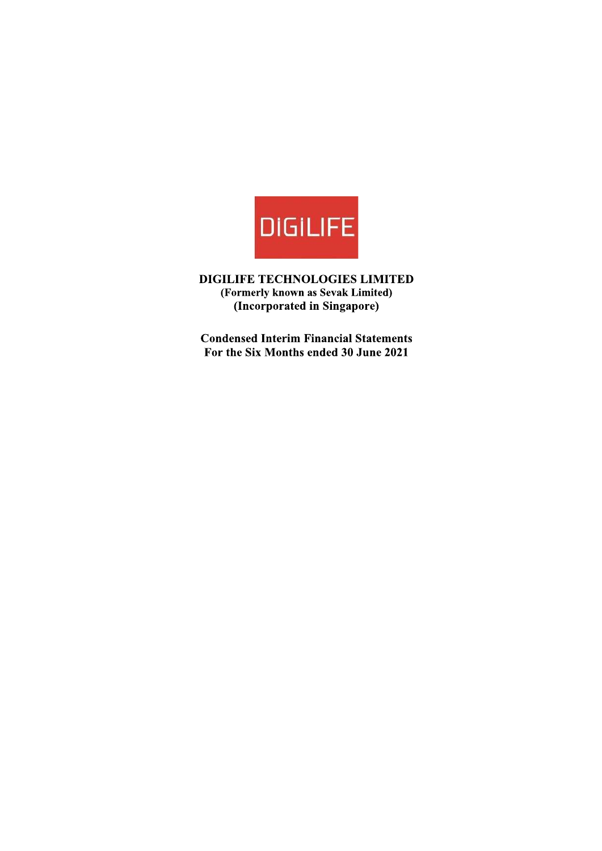

DIGILIFE TECHNOLOGIES LIMITED (Formerly known as Sevak Limited) (Incorporated in Singapore)

**Condensed Interim Financial Statements** For the Six Months ended 30 June 2021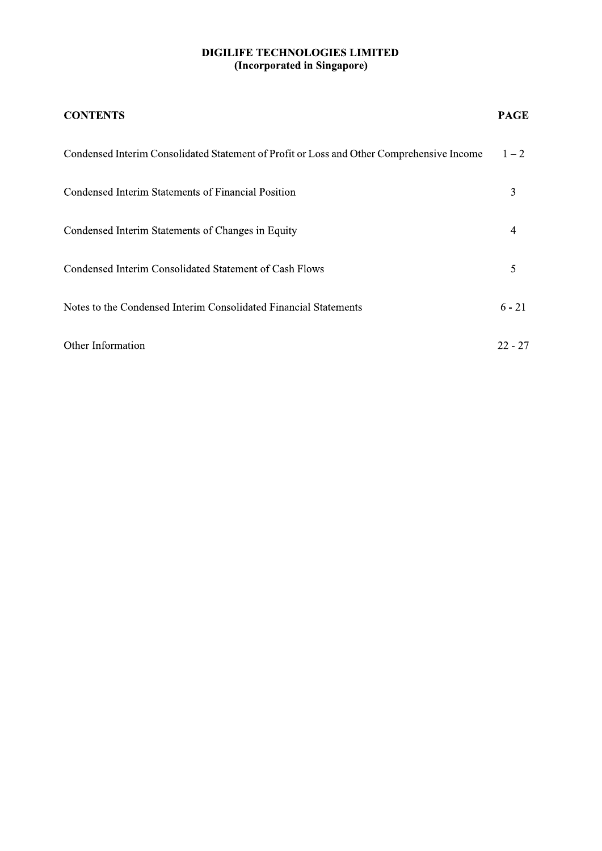| <b>CONTENTS</b>                                                                           | <b>PAGE</b> |
|-------------------------------------------------------------------------------------------|-------------|
| Condensed Interim Consolidated Statement of Profit or Loss and Other Comprehensive Income | $1 - 2$     |
| Condensed Interim Statements of Financial Position                                        | 3           |
| Condensed Interim Statements of Changes in Equity                                         | 4           |
| Condensed Interim Consolidated Statement of Cash Flows                                    | 5           |
| Notes to the Condensed Interim Consolidated Financial Statements                          | $6 - 21$    |
| Other Information                                                                         | $22 - 27$   |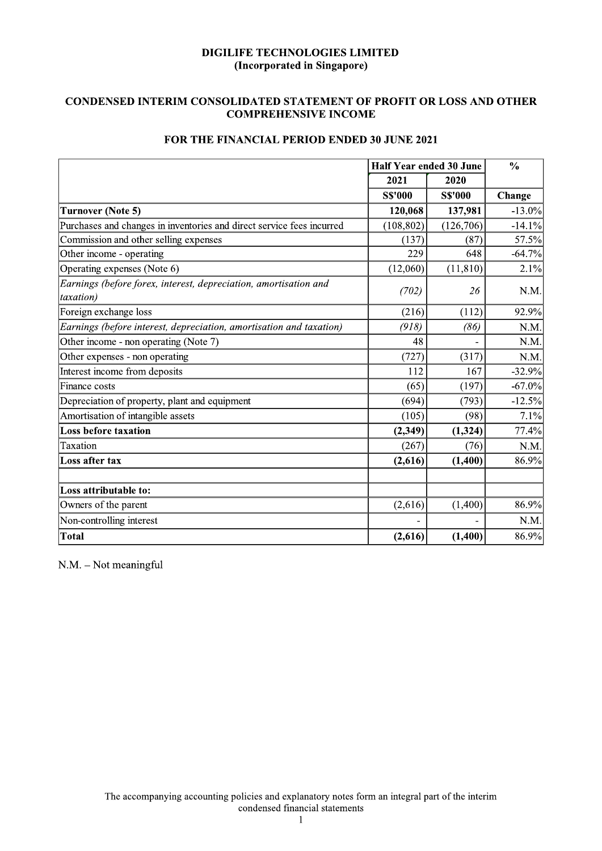# **CONDENSED INTERIM CONSOLIDATED STATEMENT OF PROFIT OR LOSS AND OTHER COMPREHENSIVE INCOME**

|                                                                               | <b>Half Year ended 30 June</b> |                | $\frac{0}{0}$ |
|-------------------------------------------------------------------------------|--------------------------------|----------------|---------------|
|                                                                               | 2021                           | 2020           |               |
|                                                                               | <b>S\$'000</b>                 | <b>S\$'000</b> | Change        |
| <b>Turnover (Note 5)</b>                                                      | 120,068                        | 137,981        | $-13.0\%$     |
| Purchases and changes in inventories and direct service fees incurred         | (108, 802)                     | (126, 706)     | $-14.1%$      |
| Commission and other selling expenses                                         | (137)                          | (87)           | 57.5%         |
| Other income - operating                                                      | 229                            | 648            | $-64.7%$      |
| Operating expenses (Note 6)                                                   | (12,060)                       | (11, 810)      | 2.1%          |
| Earnings (before forex, interest, depreciation, amortisation and<br>taxation) | (702)                          | 26             | N.M.          |
| Foreign exchange loss                                                         | (216)                          | (112)          | 92.9%         |
| Earnings (before interest, depreciation, amortisation and taxation)           | (918)                          | (86)           | N.M.          |
| Other income - non operating (Note 7)                                         | 48                             |                | N.M.          |
| Other expenses - non operating                                                | (727)                          | (317)          | N.M.          |
| Interest income from deposits                                                 | 112                            | 167            | $-32.9%$      |
| Finance costs                                                                 | (65)                           | (197)          | $-67.0\%$     |
| Depreciation of property, plant and equipment                                 | (694)                          | (793)          | $-12.5%$      |
| Amortisation of intangible assets                                             | (105)                          | (98)           | 7.1%          |
| <b>Loss before taxation</b>                                                   | (2, 349)                       | (1, 324)       | 77.4%         |
| Taxation                                                                      | (267)                          | (76)           | N.M.          |
| Loss after tax                                                                | (2,616)                        | (1,400)        | 86.9%         |
| Loss attributable to:                                                         |                                |                |               |
| Owners of the parent                                                          | (2,616)                        | (1,400)        | 86.9%         |
| Non-controlling interest                                                      |                                |                | N.M.          |
| Total                                                                         | (2,616)                        | (1,400)        | 86.9%         |

# FOR THE FINANCIAL PERIOD ENDED 30 JUNE 2021

N.M. - Not meaningful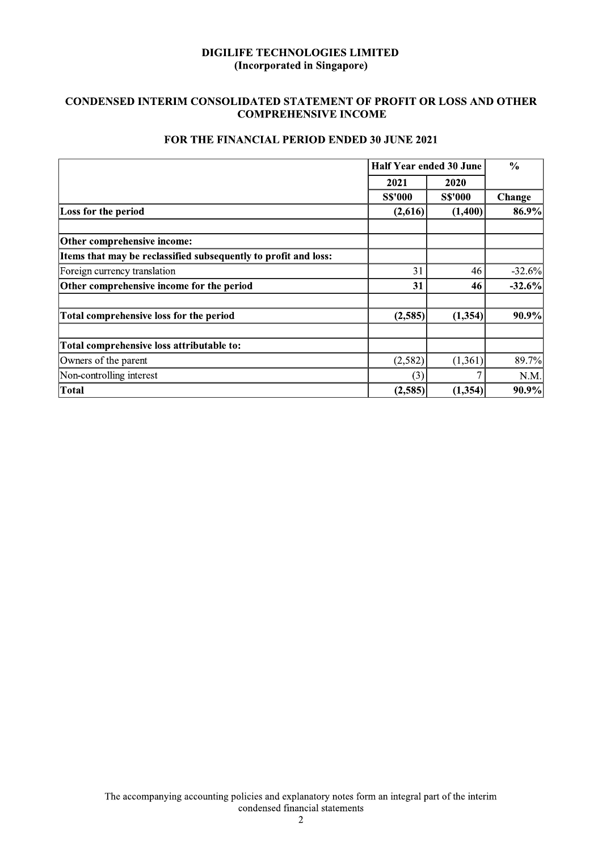# CONDENSED INTERIM CONSOLIDATED STATEMENT OF PROFIT OR LOSS AND OTHER **COMPREHENSIVE INCOME**

|                                                                 | Half Year ended 30 June | $\frac{0}{0}$  |          |  |
|-----------------------------------------------------------------|-------------------------|----------------|----------|--|
|                                                                 | 2021<br>2020            |                |          |  |
|                                                                 | <b>S\$'000</b>          | <b>S\$'000</b> | Change   |  |
| Loss for the period                                             | (2,616)                 | (1,400)        | 86.9%    |  |
| Other comprehensive income:                                     |                         |                |          |  |
| Items that may be reclassified subsequently to profit and loss: |                         |                |          |  |
| Foreign currency translation                                    | 31                      | 46             | $-32.6%$ |  |
| Other comprehensive income for the period                       | 31                      | 46             | $-32.6%$ |  |
| Total comprehensive loss for the period                         | (2,585)                 | (1, 354)       | 90.9%    |  |
| Total comprehensive loss attributable to:                       |                         |                |          |  |
| Owners of the parent                                            | (2,582)                 | (1,361)        | 89.7%    |  |
| Non-controlling interest                                        | (3)                     |                | N.M.     |  |
| Total                                                           | (2,585)                 | (1, 354)       | 90.9%    |  |

# FOR THE FINANCIAL PERIOD ENDED 30 JUNE 2021

The accompanying accounting policies and explanatory notes form an integral part of the interim condensed financial statements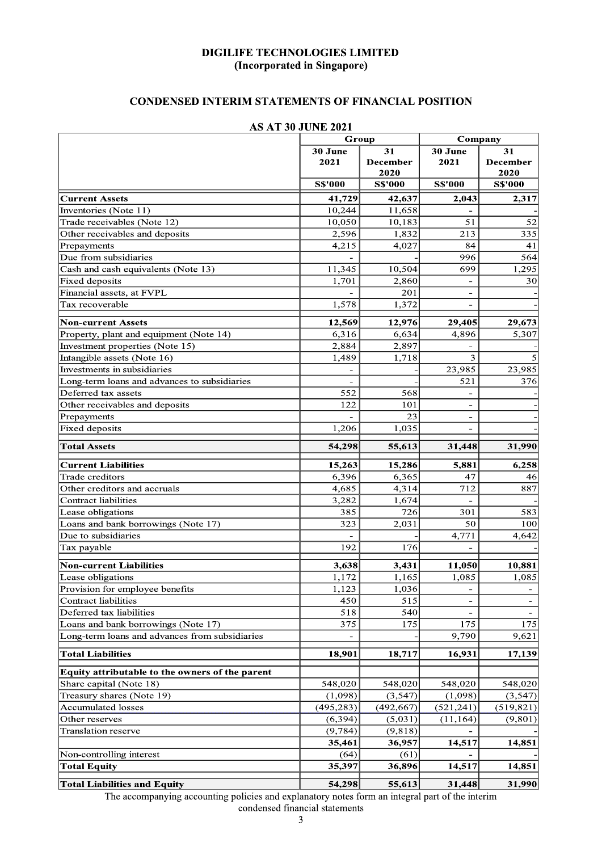# **CONDENSED INTERIM STATEMENTS OF FINANCIAL POSITION**

|                                                 | Group           |                        | Company                  |                               |  |
|-------------------------------------------------|-----------------|------------------------|--------------------------|-------------------------------|--|
|                                                 | 30 June<br>2021 | 31<br>December<br>2020 | 30 June<br>2021          | 31<br><b>December</b><br>2020 |  |
|                                                 | <b>S\$'000</b>  | <b>S\$'000</b>         | <b>S\$'000</b>           | <b>S\$'000</b>                |  |
| <b>Current Assets</b>                           | 41,729          | 42,637                 | 2,043                    | 2,317                         |  |
| Inventories (Note 11)                           | 10,244          | 11,658                 |                          |                               |  |
| Trade receivables (Note 12)                     | 10,050          | 10,183                 | 51                       | 52                            |  |
| Other receivables and deposits                  | 2,596           | 1,832                  | 213                      | 335                           |  |
| Prepayments                                     | 4,215           | 4,027                  | 84                       | 41                            |  |
| Due from subsidiaries                           |                 |                        | 996                      | 564                           |  |
| Cash and cash equivalents (Note 13)             | 11,345          | 10,504                 | 699                      | 1,295                         |  |
| <b>Fixed deposits</b>                           | 1,701           | 2,860                  |                          | 30                            |  |
| Financial assets, at FVPL                       |                 | 201                    | $\blacksquare$           |                               |  |
| Tax recoverable                                 | 1,578           | 1,372                  | $\blacksquare$           |                               |  |
| <b>Non-current Assets</b>                       | 12,569          | 12,976                 | 29,405                   | 29,673                        |  |
| Property, plant and equipment (Note 14)         | 6,316           | 6,634                  | 4,896                    | 5,307                         |  |
| Investment properties (Note 15)                 | 2,884           | 2,897                  |                          |                               |  |
| Intangible assets (Note 16)                     | 1,489           | 1,718                  | 3                        |                               |  |
| Investments in subsidiaries                     |                 |                        | 23,985                   | 23,985                        |  |
| Long-term loans and advances to subsidiaries    |                 |                        | 521                      | 376                           |  |
| Deferred tax assets                             | 552             | 568                    |                          |                               |  |
| Other receivables and deposits                  | 122             | 101                    |                          |                               |  |
| Prepayments                                     |                 | 23                     |                          |                               |  |
| <b>Fixed deposits</b>                           | 1,206           | 1,035                  |                          |                               |  |
| <b>Total Assets</b>                             | 54,298          | 55,613                 | 31,448                   | 31,990                        |  |
| <b>Current Liabilities</b>                      | 15,263          | 15,286                 | 5,881                    | 6,258                         |  |
| Trade creditors                                 | 6,396           | 6,365                  | 47                       | 46                            |  |
| Other creditors and accruals                    | 4,685           | 4,314                  | 712                      | 887                           |  |
| <b>Contract liabilities</b>                     | 3,282           | 1,674                  |                          |                               |  |
| Lease obligations                               | 385             | 726                    | 301                      | 583                           |  |
| Loans and bank borrowings (Note 17)             | 323             | 2,031                  | 50                       | 100                           |  |
| Due to subsidiaries                             |                 |                        | 4,771                    | 4,642                         |  |
| Tax payable                                     | 192             | 176                    |                          |                               |  |
| <b>Non-current Liabilities</b>                  | 3,638           | 3,431                  | 11,050                   | 10,881                        |  |
| Lease obligations                               | 1,172           | 1,165                  | 1,085                    | 1,085                         |  |
| Provision for employee benefits                 | 1,123           | 1,036                  | $\overline{\phantom{a}}$ |                               |  |
| Contract liabilities                            | 450             | 515                    | $\overline{\phantom{a}}$ |                               |  |
| Deferred tax liabilities                        | 518             | 540                    |                          |                               |  |
| Loans and bank borrowings (Note 17)             | 375             | 175                    | 175                      | 175                           |  |
| Long-term loans and advances from subsidiaries  |                 |                        | 9,790                    | 9,621                         |  |
| <b>Total Liabilities</b>                        | 18,901          | 18,717                 | 16,931                   | 17,139                        |  |
| Equity attributable to the owners of the parent |                 |                        |                          |                               |  |
| Share capital (Note 18)                         | 548,020         | 548,020                | 548,020                  | 548,020                       |  |
| Treasury shares (Note 19)                       | (1,098)         | (3, 547)               | (1,098)                  | (3, 547)                      |  |
| Accumulated losses                              | (495, 283)      | (492, 667)             | (521, 241)               | (519, 821)                    |  |
| Other reserves                                  | (6, 394)        | (5,031)                | (11, 164)                | (9, 801)                      |  |
| <b>Translation reserve</b>                      | (9, 784)        | (9, 818)               |                          |                               |  |
|                                                 | 35,461          | 36,957                 | 14,517                   | 14,851                        |  |
| Non-controlling interest                        | (64)            | (61)                   |                          |                               |  |
| <b>Total Equity</b>                             | 35,397          | 36,896                 | 14,517                   | 14,851                        |  |
| <b>Total Liabilities and Equity</b>             | 54,298          | 55,613                 | 31,448                   | 31,990                        |  |

### **AS AT 30 JUNE 2021**

The accompanying accounting policies and explanatory notes form an integral part of the interim condensed financial statements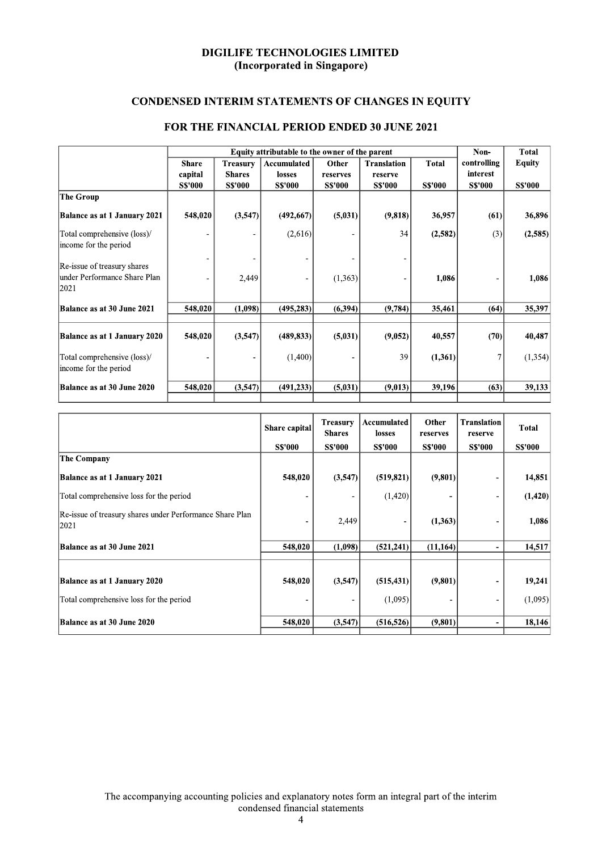# **CONDENSED INTERIM STATEMENTS OF CHANGES IN EQUITY**

|                                     |               | Equity attributable to the owner of the parent |                |                |                    |                |                |                |  |
|-------------------------------------|---------------|------------------------------------------------|----------------|----------------|--------------------|----------------|----------------|----------------|--|
|                                     | <b>Share</b>  | Treasurv                                       | Accumulated    | Other          | <b>Translation</b> | <b>Total</b>   | controlling    | <b>Equity</b>  |  |
|                                     | capital       | <b>Shares</b>                                  | losses         | reserves       | reserve            |                | interest       |                |  |
|                                     | <b>SS'000</b> | <b>S\$'000</b>                                 | <b>S\$'000</b> | <b>S\$'000</b> | <b>S\$'000</b>     | <b>S\$'000</b> | <b>S\$'000</b> | <b>S\$'000</b> |  |
| The Group                           |               |                                                |                |                |                    |                |                |                |  |
| <b>Balance as at 1 January 2021</b> | 548,020       | (3,547)                                        | (492,667)      | (5,031)        | (9,818)            | 36,957         | (61)           | 36,896         |  |
| Total comprehensive (loss)/         |               |                                                | (2,616)        |                | 34                 | (2,582)        | (3)            | (2, 585)       |  |
| income for the period               |               |                                                |                |                |                    |                |                |                |  |
| Re-issue of treasury shares         |               |                                                |                |                |                    |                |                |                |  |
| lunder Performance Share Plan       |               | 2,449                                          |                | (1, 363)       |                    | 1,086          |                | 1,086          |  |
| 2021                                |               |                                                |                |                |                    |                |                |                |  |
| Balance as at 30 June 2021          | 548,020       | (1,098)                                        | (495, 283)     | (6, 394)       | (9,784)            | 35,461         | (64)           | 35,397         |  |
|                                     |               |                                                |                |                |                    |                |                |                |  |
| Balance as at 1 January 2020        | 548,020       | (3,547)                                        | (489, 833)     | (5,031)        | (9,052)            | 40,557         | (70)           | 40,487         |  |
| Total comprehensive (loss)/         |               |                                                | (1,400)        |                | 39                 | (1,361)        |                | (1, 354)       |  |
| income for the period               |               |                                                |                |                |                    |                |                |                |  |
| Balance as at 30 June 2020          | 548,020       | (3,547)                                        | (491, 233)     | (5,031)        | (9,013)            | 39,196         | (63)           | 39,133         |  |
|                                     |               |                                                |                |                |                    |                |                |                |  |

# FOR THE FINANCIAL PERIOD ENDED 30 JUNE 2021

|                                                                  | Share capital  | <b>Treasury</b><br><b>Shares</b> | Accumulated<br>losses | Other<br>reserves | Translation<br>reserve       | Total         |
|------------------------------------------------------------------|----------------|----------------------------------|-----------------------|-------------------|------------------------------|---------------|
|                                                                  | <b>S\$'000</b> | <b>S\$'000</b>                   | <b>SS'000</b>         | <b>S\$'000</b>    | <b>S\$'000</b>               | <b>SS'000</b> |
| <b>The Company</b>                                               |                |                                  |                       |                   |                              |               |
| Balance as at 1 January 2021                                     | 548,020        | (3,547)                          | (519, 821)            | (9,801)           | ۰                            | 14,851        |
| Total comprehensive loss for the period                          |                |                                  | (1,420)               |                   | $\qquad \qquad \blacksquare$ | (1, 420)      |
| Re-issue of treasury shares under Performance Share Plan<br>2021 |                | 2,449                            |                       | (1,363)           |                              | 1,086         |
| Balance as at 30 June 2021                                       | 548,020        | (1,098)                          | (521, 241)            | (11, 164)         | $\blacksquare$               | 14,517        |
|                                                                  |                |                                  |                       |                   |                              |               |
| Balance as at 1 January 2020                                     | 548,020        | (3,547)                          | (515, 431)            | (9,801)           | $\overline{a}$               | 19,241        |
| Total comprehensive loss for the period                          |                |                                  | (1,095)               |                   | $\overline{\phantom{a}}$     | (1,095)       |
| Balance as at 30 June 2020                                       | 548,020        | (3,547)                          | (516, 526)            | (9, 801)          | $\blacksquare$               | 18,146        |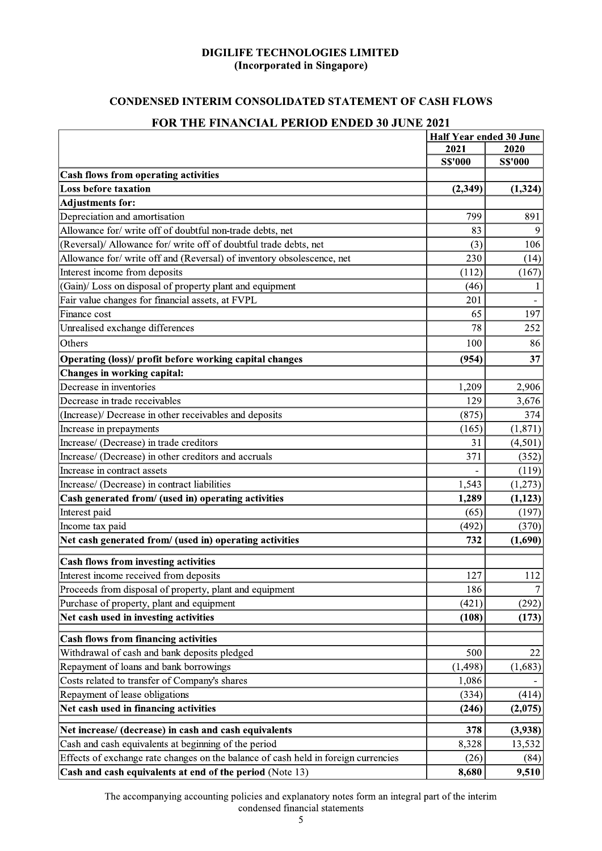# **CONDENSED INTERIM CONSOLIDATED STATEMENT OF CASH FLOWS**

#### Half Year ended 30 June 2021 2020 **S\$'000 S\$'000 Cash flows from operating activities** Loss before taxation  $(2,349)$  $(1, 324)$ **Adjustments for:** Depreciation and amortisation 799  $891$ Allowance for/ write off of doubtful non-trade debts, net 83  $\overline{Q}$ (Reversal)/ Allowance for/ write off of doubtful trade debts, net  $(3)$ 106 Allowance for/write off and (Reversal) of inventory obsolescence, net 230  $(14)$ Interest income from deposits  $(112)$  $(167)$ (Gain)/ Loss on disposal of property plant and equipment  $(46)$  $\mathbf{1}$ Fair value changes for financial assets, at FVPL 201 197 Finance cost 65 Unrealised exchange differences  $\overline{78}$  $\overline{252}$ 100 Others 86 Operating (loss)/ profit before working capital changes  $(954)$ 37 Changes in working capital: Decrease in inventories 1,209 2.906 129 Decrease in trade receivables 3,676 (Increase)/ Decrease in other receivables and deposits  $(875)$ 374 Increase in prepayments  $(165)$  $(1,871)$ Increase/ (Decrease) in trade creditors  $(4.501)$ 31 Increase/ (Decrease) in other creditors and accruals 371  $(352)$ Increase in contract assets  $(119)$ Increase/ (Decrease) in contract liabilities 1.543  $(1.273)$ Cash generated from/ (used in) operating activities 1,289  $(1, 123)$  $(65)$  $(197)$ Interest paid  $(492)$  $(370)$ Income tax paid Net cash generated from/ (used in) operating activities 732  $(1,690)$ **Cash flows from investing activities** 112 Interest income received from deposits 127 Proceeds from disposal of property, plant and equipment 186 Purchase of property, plant and equipment  $(421)$  $(292)$ Net cash used in investing activities  $(108)$  $(173)$ **Cash flows from financing activities** Withdrawal of cash and bank deposits pledged 500 22 Repayment of loans and bank borrowings  $(1, 498)$  $(1,683)$ Costs related to transfer of Company's shares 1,086  $(414)$ Repayment of lease obligations  $(334)$ Net cash used in financing activities  $(246)$  $(2,075)$  $(3,938)$ Net increase/ (decrease) in cash and cash equivalents 378 Cash and cash equivalents at beginning of the period 8,328 13,532 Effects of exchange rate changes on the balance of cash held in foreign currencies  $(26)$  $(84)$ Cash and cash equivalents at end of the period (Note 13) 8.680 9,510

# **FOR THE FINANCIAL PERIOD ENDED 30 JUNE 2021**

The accompanying accounting policies and explanatory notes form an integral part of the interim condensed financial statements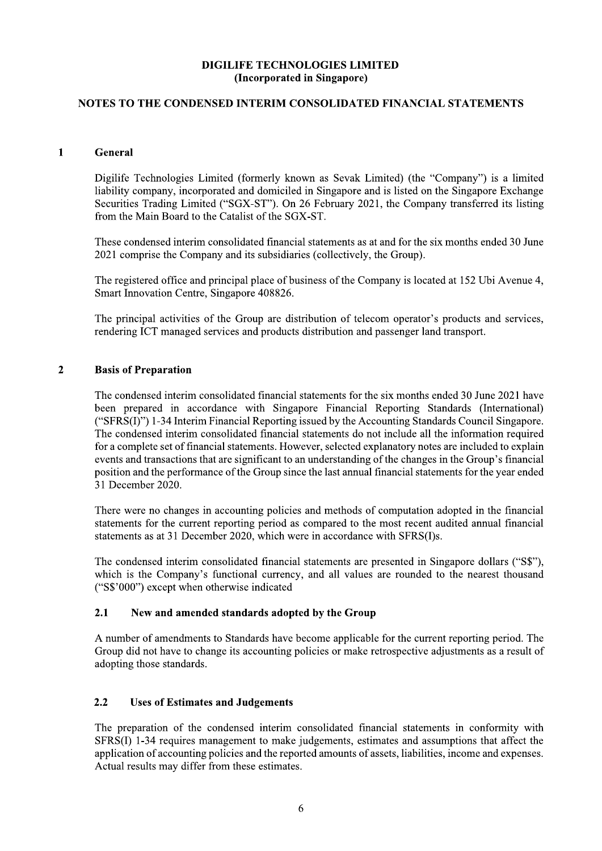# NOTES TO THE CONDENSED INTERIM CONSOLIDATED FINANCIAL STATEMENTS

### $\mathbf{1}$ General

Digilife Technologies Limited (formerly known as Sevak Limited) (the "Company") is a limited liability company, incorporated and domiciled in Singapore and is listed on the Singapore Exchange Securities Trading Limited ("SGX-ST"). On 26 February 2021, the Company transferred its listing from the Main Board to the Catalist of the SGX-ST.

These condensed interim consolidated financial statements as at and for the six months ended 30 June 2021 comprise the Company and its subsidiaries (collectively, the Group).

The registered office and principal place of business of the Company is located at 152 Ubi Avenue 4, Smart Innovation Centre, Singapore 408826.

The principal activities of the Group are distribution of telecom operator's products and services, rendering ICT managed services and products distribution and passenger land transport.

#### $\overline{2}$ **Basis of Preparation**

The condensed interim consolidated financial statements for the six months ended 30 June 2021 have been prepared in accordance with Singapore Financial Reporting Standards (International) ("SFRS(I)") 1-34 Interim Financial Reporting issued by the Accounting Standards Council Singapore. The condensed interim consolidated financial statements do not include all the information required for a complete set of financial statements. However, selected explanatory notes are included to explain events and transactions that are significant to an understanding of the changes in the Group's financial position and the performance of the Group since the last annual financial statements for the year ended 31 December 2020.

There were no changes in accounting policies and methods of computation adopted in the financial statements for the current reporting period as compared to the most recent audited annual financial statements as at 31 December 2020, which were in accordance with SFRS(I)s.

The condensed interim consolidated financial statements are presented in Singapore dollars ("S\$"). which is the Company's functional currency, and all values are rounded to the nearest thousand  $("S$'000")$  except when otherwise indicated

#### $2.1$ New and amended standards adopted by the Group

A number of amendments to Standards have become applicable for the current reporting period. The Group did not have to change its accounting policies or make retrospective adjustments as a result of adopting those standards.

#### $2.2$ **Uses of Estimates and Judgements**

The preparation of the condensed interim consolidated financial statements in conformity with SFRS(I) 1-34 requires management to make judgements, estimates and assumptions that affect the application of accounting policies and the reported amounts of assets, liabilities, income and expenses. Actual results may differ from these estimates.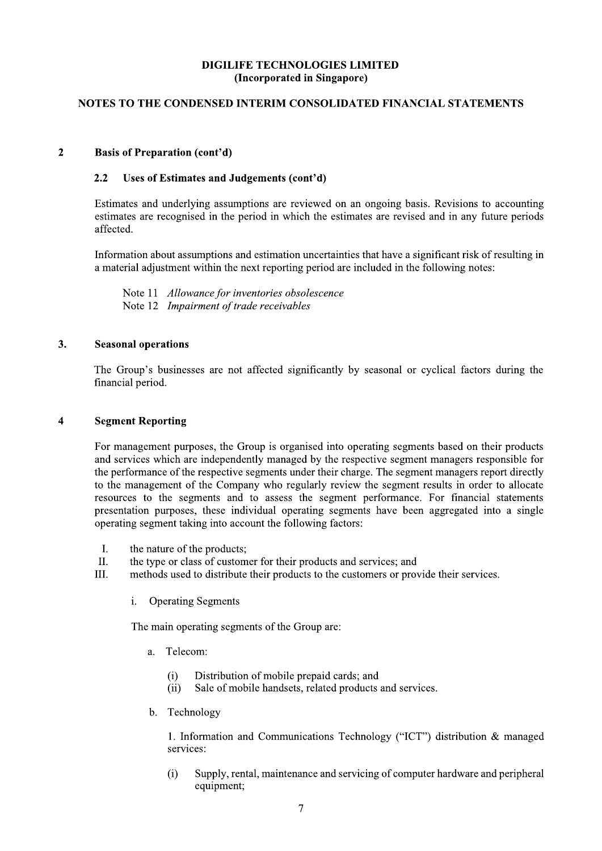# NOTES TO THE CONDENSED INTERIM CONSOLIDATED FINANCIAL STATEMENTS

#### $\overline{2}$ **Basis of Preparation (cont'd)**

#### $2.2$ Uses of Estimates and Judgements (cont'd)

Estimates and underlying assumptions are reviewed on an ongoing basis. Revisions to accounting estimates are recognised in the period in which the estimates are revised and in any future periods affected.

Information about assumptions and estimation uncertainties that have a significant risk of resulting in a material adjustment within the next reporting period are included in the following notes:

Note 11 Allowance for inventories obsolescence Note 12 *Impairment of trade receivables* 

#### $3.$ **Seasonal operations**

The Group's businesses are not affected significantly by seasonal or cyclical factors during the financial period.

#### $\overline{\mathbf{4}}$ **Segment Reporting**

For management purposes, the Group is organised into operating segments based on their products and services which are independently managed by the respective segment managers responsible for the performance of the respective segments under their charge. The segment managers report directly to the management of the Company who regularly review the segment results in order to allocate resources to the segments and to assess the segment performance. For financial statements presentation purposes, these individual operating segments have been aggregated into a single operating segment taking into account the following factors:

- $\mathbf{I}$ . the nature of the products;
- $\Pi$ . the type or class of customer for their products and services; and
- methods used to distribute their products to the customers or provide their services. III.
	- i. **Operating Segments**

The main operating segments of the Group are:

- $\mathbf{a}$ Telecom:
	- Distribution of mobile prepaid cards; and  $(i)$
	- Sale of mobile handsets, related products and services.  $(ii)$
- $<sub>b</sub>$ .</sub> Technology

1. Information and Communications Technology ("ICT") distribution & managed services:

Supply, rental, maintenance and servicing of computer hardware and peripheral  $(i)$ equipment;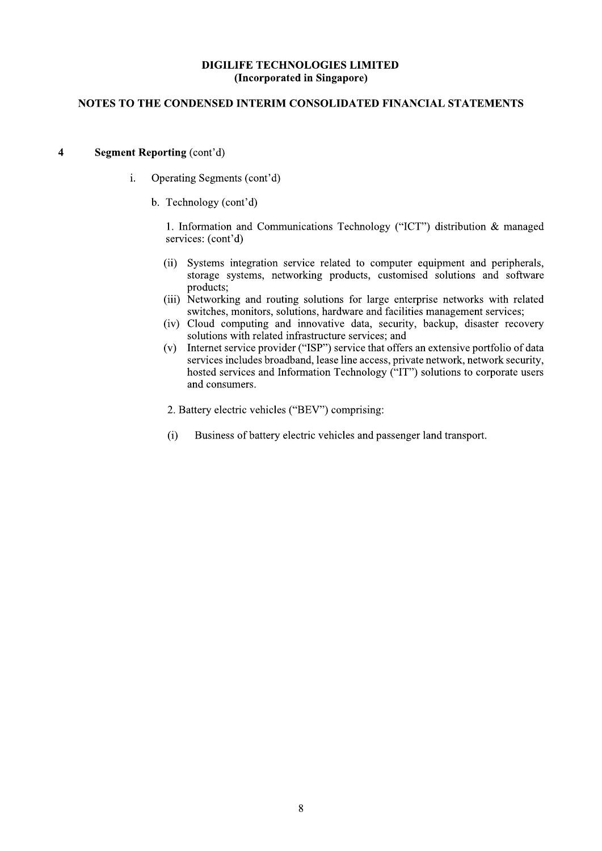# NOTES TO THE CONDENSED INTERIM CONSOLIDATED FINANCIAL STATEMENTS

#### $\overline{\mathbf{4}}$ **Segment Reporting (cont'd)**

- $\mathbf{i}$ . Operating Segments (cont'd)
	- b. Technology (cont'd)

1. Information and Communications Technology ("ICT") distribution & managed services: (cont'd)

- Systems integration service related to computer equipment and peripherals,  $(ii)$ storage systems, networking products, customised solutions and software products:
- (iii) Networking and routing solutions for large enterprise networks with related switches, monitors, solutions, hardware and facilities management services;
- (iv) Cloud computing and innovative data, security, backup, disaster recovery solutions with related infrastructure services; and
- Internet service provider ("ISP") service that offers an extensive portfolio of data  $(v)$ services includes broadband, lease line access, private network, network security, hosted services and Information Technology ("IT") solutions to corporate users and consumers.
- 2. Battery electric vehicles ("BEV") comprising:
- $(i)$ Business of battery electric vehicles and passenger land transport.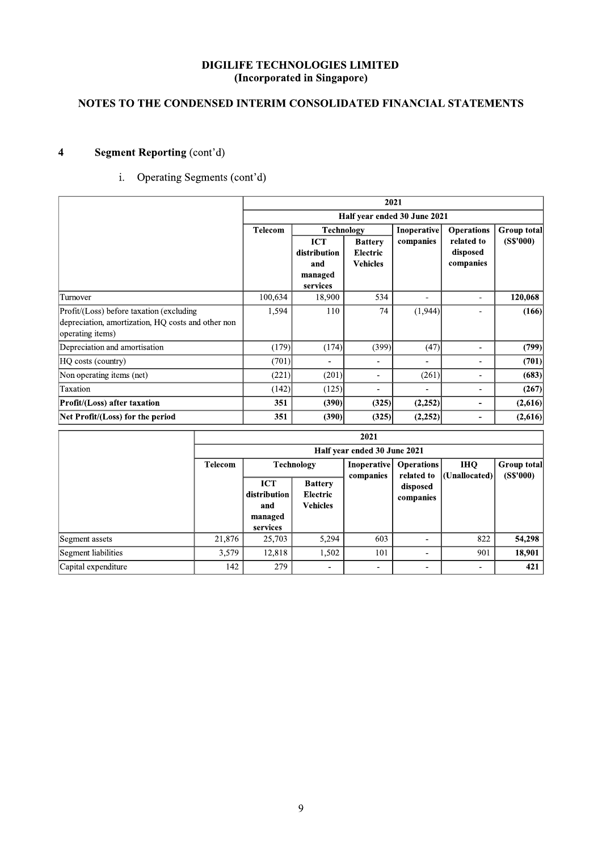### $\mathbf{r}$ NOTES TO THE CONDENSED INTERIM CONSOLIDATED FINANCIAL STATEMENTS

| <b>Segment Reporting (cont'd)</b><br>$\overline{\mathbf{4}}$                                                       |                |                                                          |                                                          |                                               |                                 |                                     |                          |
|--------------------------------------------------------------------------------------------------------------------|----------------|----------------------------------------------------------|----------------------------------------------------------|-----------------------------------------------|---------------------------------|-------------------------------------|--------------------------|
| Operating Segments (cont'd)<br>i.                                                                                  |                |                                                          |                                                          |                                               |                                 |                                     |                          |
|                                                                                                                    |                |                                                          |                                                          |                                               | 2021                            |                                     |                          |
|                                                                                                                    |                |                                                          |                                                          |                                               | Half year ended 30 June 2021    |                                     |                          |
|                                                                                                                    |                | <b>Telecom</b>                                           | <b>Technology</b>                                        |                                               | Inoperative                     | <b>Operations</b>                   | Group total              |
|                                                                                                                    |                |                                                          | <b>ICT</b><br>distribution<br>and<br>managed<br>services | <b>Battery</b><br>Electric<br><b>Vehicles</b> | companies                       | related to<br>disposed<br>companies | (SS'000)                 |
| Turnover                                                                                                           |                | 100,634                                                  | 18,900                                                   | 534                                           | $\blacksquare$                  | $\blacksquare$                      | 120,068                  |
| Profit/(Loss) before taxation (excluding<br>depreciation, amortization, HQ costs and other non<br>operating items) |                | 1,594                                                    | 110                                                      | 74                                            | (1,944)                         | $\blacksquare$                      | (166)                    |
| Depreciation and amortisation                                                                                      |                | (179)                                                    | (174)                                                    | (399)                                         | (47)                            | $\blacksquare$                      | (799)                    |
| HQ costs (country)                                                                                                 |                | (701)                                                    | $\blacksquare$                                           | $\blacksquare$                                | ÷                               | $\blacksquare$                      | (701)                    |
| Non operating items (net)                                                                                          |                | (221)                                                    | (201)                                                    | $\overline{a}$                                | (261)                           | $\sim$                              | (683)                    |
| Taxation                                                                                                           |                | (142)                                                    | (125)                                                    | $\blacksquare$                                | $\sim$                          | $\sim$                              | (267)                    |
| Profit/(Loss) after taxation                                                                                       |                | 351                                                      | (390)                                                    | (325)                                         | (2, 252)                        | $\overline{\phantom{a}}$            | (2,616)                  |
| Net Profit/(Loss) for the period                                                                                   |                | 351                                                      | (390)                                                    | (325)                                         | (2, 252)                        | $\blacksquare$                      | (2,616)                  |
|                                                                                                                    |                |                                                          |                                                          | 2021                                          |                                 |                                     |                          |
|                                                                                                                    |                |                                                          |                                                          | Half year ended 30 June 2021                  |                                 |                                     |                          |
|                                                                                                                    | <b>Telecom</b> |                                                          | <b>Technology</b>                                        | Inoperative<br>companies                      | <b>Operations</b><br>related to | <b>IHQ</b><br>(Unallocated)         | Group total<br>(S\$'000) |
|                                                                                                                    |                | <b>ICT</b><br>distribution<br>and<br>managed<br>services | <b>Battery</b><br>Electric<br><b>Vehicles</b>            |                                               | disposed<br>$\bf{companies}$    |                                     |                          |
| Segment assets                                                                                                     | 21,876         | 25,703                                                   | 5,294                                                    | 603                                           | $\blacksquare$                  | 822                                 | 54,298                   |
| <b>Segment liabilities</b>                                                                                         | 3,579          | 12,818                                                   | 1,502                                                    | 101                                           | $\blacksquare$                  | 901                                 | 18,901                   |
| Capital expenditure                                                                                                | 142            | 279                                                      |                                                          | $\overline{\phantom{a}}$                      | $\overline{a}$                  | $\overline{\phantom{a}}$            | 421                      |

| Taxation                            |                | (142)                             | (125)                                                | $\overline{\phantom{0}}$     |                                 |                             | (267)                    |
|-------------------------------------|----------------|-----------------------------------|------------------------------------------------------|------------------------------|---------------------------------|-----------------------------|--------------------------|
| <b>Profit/(Loss)</b> after taxation | 351            | (390)                             | (325)                                                | (2,252)                      |                                 | (2,616)                     |                          |
| Net Profit/(Loss) for the period    |                | 351                               | (390)                                                | (325)                        | (2,252)                         |                             | (2,616)                  |
|                                     |                |                                   |                                                      | 2021                         |                                 |                             |                          |
|                                     |                |                                   |                                                      | Half year ended 30 June 2021 |                                 |                             |                          |
|                                     | <b>Telecom</b> |                                   | <b>Technology</b>                                    | Inoperative<br>companies     | <b>Operations</b><br>related to | <b>IHQ</b><br>(Unallocated) | Group total<br>(S\$'000) |
|                                     |                | <b>ICT</b><br>distribution<br>and | <b>Battery</b><br><b>Electric</b><br><b>Vehicles</b> |                              | disposed<br>companies           |                             |                          |
|                                     |                | managed<br>services               |                                                      |                              |                                 |                             |                          |
| Segment assets                      | 21,876         | 25,703                            | 5,294                                                | 603                          |                                 | 822                         | 54,298                   |
| Segment liabilities                 | 3,579          | 12,818                            | 1,502                                                | 101                          | ۰                               | 901                         | 18,901                   |
| Capital expenditure                 | 142            | 279                               | $\overline{\phantom{a}}$                             | $\overline{\phantom{a}}$     | $\overline{\phantom{a}}$        | $\overline{\phantom{a}}$    | 421                      |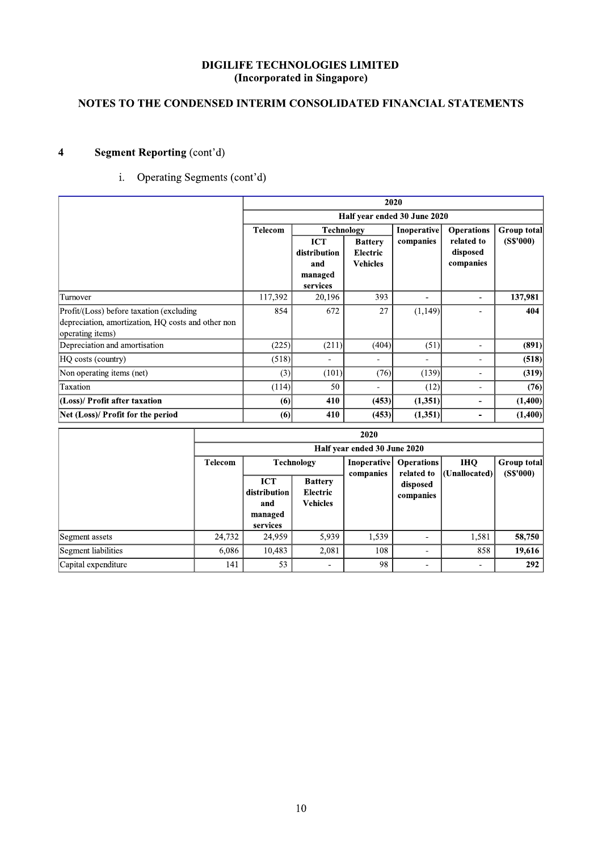### $\mathbf{r}$ NOTES TO THE CONDENSED INTERIM CONSOLIDATED FINANCIAL STATEMENTS

| <b>Segment Reporting (cont'd)</b><br>$\overline{\mathbf{4}}$                                                       |                |                                            |                                                   |                                                      |                                 |                                     |                                |
|--------------------------------------------------------------------------------------------------------------------|----------------|--------------------------------------------|---------------------------------------------------|------------------------------------------------------|---------------------------------|-------------------------------------|--------------------------------|
| Operating Segments (cont'd)<br>$i$ .                                                                               |                |                                            |                                                   |                                                      |                                 |                                     |                                |
|                                                                                                                    |                |                                            |                                                   |                                                      | 2020                            |                                     |                                |
|                                                                                                                    |                |                                            |                                                   |                                                      | Half year ended 30 June 2020    |                                     |                                |
|                                                                                                                    |                | <b>Telecom</b>                             |                                                   | <b>Technology</b>                                    | Inoperative                     | <b>Operations</b>                   | <b>Group total</b>             |
|                                                                                                                    |                |                                            | ICT<br>distribution<br>and<br>managed<br>services | <b>Battery</b><br><b>Electric</b><br><b>Vehicles</b> | companies                       | related to<br>disposed<br>companies | (S\$'000)                      |
| Turnover                                                                                                           | 117,392        | 20,196                                     | 393                                               | ÷,                                                   | $\overline{\phantom{a}}$        | 137,981                             |                                |
| Profit/(Loss) before taxation (excluding<br>depreciation, amortization, HQ costs and other non<br>operating items) |                | 854                                        | 672                                               | 27                                                   | (1,149)                         | $\blacksquare$                      | 404                            |
| Depreciation and amortisation                                                                                      |                | (225)                                      | (211)                                             | (404)                                                | (51)                            | $\blacksquare$                      | (891)                          |
| HQ costs (country)                                                                                                 |                | (518)                                      | $\blacksquare$                                    | $\overline{a}$                                       | $\overline{a}$                  | $\overline{\phantom{a}}$            | (518)                          |
| Non operating items (net)                                                                                          |                | (3)                                        | (101)                                             | (76)                                                 | (139)                           | $\blacksquare$                      | (319)                          |
| Taxation                                                                                                           |                | (114)                                      | 50                                                | $\blacksquare$                                       | (12)                            | $\blacksquare$                      | (76)                           |
| (Loss)/ Profit after taxation                                                                                      |                | (6)                                        | 410                                               | (453)                                                | (1, 351)                        | $\blacksquare$                      | (1,400)                        |
| Net (Loss)/ Profit for the period                                                                                  |                | (6)                                        | 410                                               | (453)                                                | (1, 351)                        | $\blacksquare$                      | (1,400)                        |
|                                                                                                                    |                |                                            |                                                   | 2020                                                 |                                 |                                     |                                |
|                                                                                                                    |                |                                            |                                                   | Half year ended 30 June 2020                         |                                 |                                     |                                |
|                                                                                                                    | <b>Telecom</b> | <b>ICT</b>                                 | <b>Technology</b><br><b>Battery</b>               | Inoperative<br>companies                             | <b>Operations</b><br>related to | <b>IHQ</b><br>(Unallocated)         | <b>Group total</b><br>(SS'000) |
|                                                                                                                    |                | distribution<br>and<br>managed<br>services | <b>Electric</b><br><b>Vehicles</b>                |                                                      | disposed<br>companies           |                                     |                                |
| Segment assets                                                                                                     | 24,732         | 24,959                                     | 5,939                                             | 1,539                                                | $\overline{\phantom{a}}$        | 1,581                               | 58,750                         |
| Segment liabilities                                                                                                | 6,086          | 10,483                                     | 2,081                                             | 108                                                  | $\blacksquare$                  | 858                                 | 19,616                         |
| Capital expenditure                                                                                                | 141            | 53                                         | $\blacksquare$                                    | 98                                                   | $\blacksquare$                  | $\blacksquare$                      | 292                            |

| operating items)                  |         |                                                          |                                               |                          |                                        |                                     |                          |  |
|-----------------------------------|---------|----------------------------------------------------------|-----------------------------------------------|--------------------------|----------------------------------------|-------------------------------------|--------------------------|--|
| Depreciation and amortisation     |         | (225)                                                    | (211)                                         | (404)                    | (51)                                   | ۰                                   | (891)                    |  |
| HQ costs (country)                |         | (518)                                                    | $\overline{\phantom{a}}$                      | $\overline{\phantom{a}}$ | $\qquad \qquad \blacksquare$           | $\overline{\phantom{a}}$            | (518)                    |  |
| Non operating items (net)         |         | (3)                                                      | (101)                                         | (76)                     | (139)                                  | $\qquad \qquad \blacksquare$        | (319)                    |  |
| Taxation                          |         | (114)                                                    | 50                                            | $\overline{\phantom{a}}$ | (12)                                   | ۰                                   | (76)                     |  |
| (Loss)/ Profit after taxation     |         | (6)                                                      | 410                                           | (453)                    | (1, 351)                               | ٠.                                  | (1,400)                  |  |
| Net (Loss)/ Profit for the period |         | (6)                                                      | 410                                           | (453)                    | (1,351)                                | $\overline{\phantom{a}}$            | (1,400)                  |  |
|                                   |         |                                                          |                                               | 2020                     |                                        |                                     |                          |  |
|                                   |         | Half year ended 30 June 2020                             |                                               |                          |                                        |                                     |                          |  |
|                                   | Telecom |                                                          | <b>Technology</b>                             | companies                | Inoperative   Operations<br>related to | <b>IHQ</b><br>$ $ (Unallocated) $ $ | Group total<br>(S\$'000) |  |
|                                   |         | <b>ICT</b><br>distribution<br>and<br>managed<br>services | <b>Battery</b><br>Electric<br><b>Vehicles</b> |                          | disposed<br>companies                  |                                     |                          |  |
| Segment assets                    | 24,732  | 24,959                                                   | 5,939                                         | 1,539                    | $\overline{\phantom{a}}$               | 1,581                               | 58,750                   |  |
| Segment liabilities               | 6,086   | 10,483                                                   | 2,081                                         | 108                      | $\blacksquare$                         | 858                                 | 19,616                   |  |
|                                   |         |                                                          |                                               |                          |                                        |                                     |                          |  |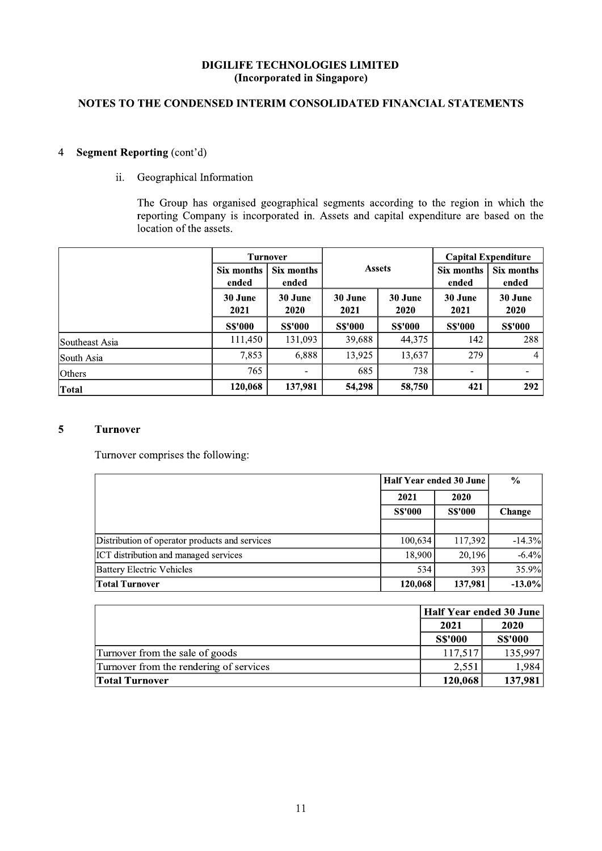# NOTES TO THE CONDENSED INTERIM CONSOLIDATED FINANCIAL STATEMENTS

### **Segment Reporting (cont'd)**  $\overline{4}$

 $ii.$ Geographical Information

> The Group has organised geographical segments according to the region in which the reporting Company is incorporated in. Assets and capital expenditure are based on the location of the assets.

|                |                     | <b>Turnover</b>     |                 |                 |                     | <b>Capital Expenditure</b> |
|----------------|---------------------|---------------------|-----------------|-----------------|---------------------|----------------------------|
|                | Six months<br>ended | Six months<br>ended | <b>Assets</b>   |                 | Six months<br>ended | Six months<br>ended        |
|                | 30 June<br>2021     | 30 June<br>2020     | 30 June<br>2021 | 30 June<br>2020 |                     | 30 June<br>2020            |
|                | <b>S\$'000</b>      | <b>SS'000</b>       | <b>S\$'000</b>  | <b>S\$'000</b>  | <b>S\$'000</b>      | <b>SS'000</b>              |
| Southeast Asia | 111,450             | 131.093             | 39,688          | 44,375          | 142                 | 288                        |
| South Asia     | 7,853               | 6,888               | 13.925          | 13,637          | 279                 | 4                          |
| <b>Others</b>  | 765                 |                     | 685             | 738             | ۰                   |                            |
| <b>Total</b>   | 120,068             | 137,981             | 54,298          | 58,750          | 421                 | 292                        |

### $\overline{5}$ **Turnover**

Turnover comprises the following:

|                                                | Half Year ended 30 June | $\frac{0}{0}$  |           |
|------------------------------------------------|-------------------------|----------------|-----------|
|                                                | 2021                    | 2020           |           |
|                                                | <b>S\$'000</b>          | <b>S\$'000</b> | Change    |
|                                                |                         |                |           |
| Distribution of operator products and services | 100,634                 | 117,392        | $-14.3%$  |
| ICT distribution and managed services          | 18,900                  | 20,196         | $-6.4%$   |
| <b>Battery Electric Vehicles</b>               | 534                     | 393            | 35.9%     |
| <b>Total Turnover</b>                          | 120,068                 | 137,981        | $-13.0\%$ |

|                                         |                | Half Year ended 30 June |  |
|-----------------------------------------|----------------|-------------------------|--|
|                                         | 2021           | 2020                    |  |
|                                         | <b>S\$'000</b> | <b>S\$'000</b>          |  |
| Turnover from the sale of goods         | 117.517        | 135,997                 |  |
| Turnover from the rendering of services | 2.551          | .9841                   |  |
| <b>Total Turnover</b>                   | 120,068        | 137,981                 |  |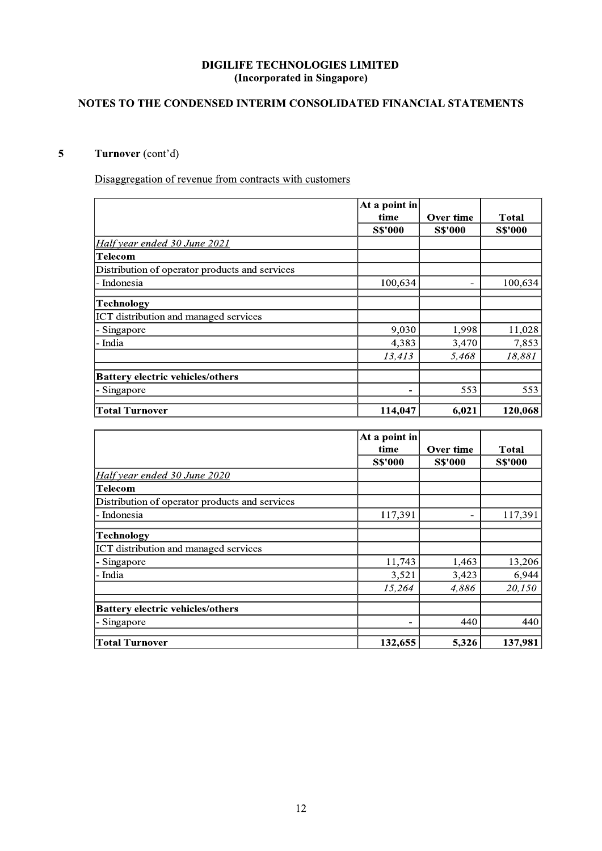### $\mathbf{r}$ NOTES TO THE CONDENSED INTERIM CONSOLIDATED FINANCIAL STATEMENTS

# Turnover (cont'd)

| Disaggregation of revenue from contracts with customers |                       |                |                |
|---------------------------------------------------------|-----------------------|----------------|----------------|
|                                                         | At a point in<br>time | Over time      | <b>Total</b>   |
|                                                         | <b>S\$'000</b>        | <b>S\$'000</b> | <b>S\$'000</b> |
| Half year ended 30 June 2021                            |                       |                |                |
| <b>Telecom</b>                                          |                       |                |                |
| Distribution of operator products and services          |                       |                |                |
| Indonesia                                               | 100,634               |                | 100,634        |
| <b>Technology</b>                                       |                       |                |                |
| ICT distribution and managed services                   |                       |                |                |
| Singapore                                               | 9,030                 | 1,998          | 11,028         |
| India                                                   | 4,383                 | 3,470          | 7,853          |
|                                                         | 13,413                | 5,468          | 18,881         |
| <b>Battery electric vehicles/others</b>                 |                       |                |                |
| Singapore                                               |                       | 553            | 553            |
| <b>Total Turnover</b>                                   | 114,047               | 6,021          | 120,068        |
|                                                         |                       |                |                |
|                                                         | At a point in         |                |                |
|                                                         | time                  | Over time      | <b>Total</b>   |
| Half year ended 30 June 2020                            | <b>S\$'000</b>        | <b>S\$'000</b> | <b>S\$'000</b> |
|                                                         |                       |                |                |
|                                                         |                       |                |                |
| Telecom                                                 |                       |                |                |
| Distribution of operator products and services          |                       |                |                |
| Indonesia                                               | 117,391               | $\blacksquare$ | 117,391        |
| <b>Technology</b>                                       |                       |                |                |
| ICT distribution and managed services                   |                       |                |                |
| Singapore                                               | 11,743                | 1,463          | 13,206         |
| India                                                   | 3,521                 | 3,423          | 6,944          |
|                                                         | 15,264                | 4,886          | 20,150         |
| <b>Battery electric vehicles/others</b>                 |                       |                |                |
| Singapore                                               | $\blacksquare$        | 440            | 440            |

|                                                | $\vert$ At a point in |                |                |  |
|------------------------------------------------|-----------------------|----------------|----------------|--|
|                                                | time                  | Over time      | <b>Total</b>   |  |
|                                                | <b>S\$'000</b>        | <b>S\$'000</b> | <b>S\$'000</b> |  |
| Half year ended 30 June 2020                   |                       |                |                |  |
| Telecom                                        |                       |                |                |  |
| Distribution of operator products and services |                       |                |                |  |
| - Indonesia                                    | 117,391               |                | 117,391        |  |
| Technology                                     |                       |                |                |  |
| ICT distribution and managed services          |                       |                |                |  |
| - Singapore                                    | 11,743                | 1,463          | 13,206         |  |
| - India                                        | 3,521                 | 3,423          | 6,944          |  |
|                                                | 15,264                | 4,886          | 20,150         |  |
| <b>Battery electric vehicles/others</b>        |                       |                |                |  |
| - Singapore                                    |                       | 440            | 440            |  |
| <b>Total Turnover</b>                          | 132,655               | 5,326          | 137,981        |  |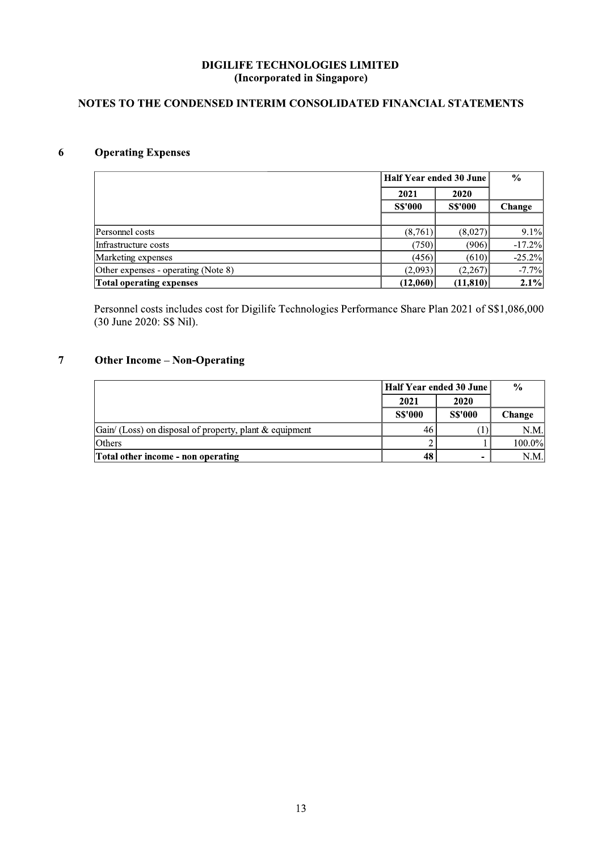# NOTES TO THE CONDENSED INTERIM CONSOLIDATED FINANCIAL STATEMENTS

### **Operating Expenses**  $\boldsymbol{6}$

|                                     | Half Year ended 30 June |                | $\frac{6}{6}$ |
|-------------------------------------|-------------------------|----------------|---------------|
|                                     | 2021                    | 2020           |               |
|                                     | <b>SS'000</b>           | <b>S\$'000</b> | Change        |
|                                     |                         |                |               |
| Personnel costs                     | (8,761)                 | (8.027)        | $9.1\%$       |
| Infrastructure costs                | (750)                   | (906)          | $-17.2%$      |
| Marketing expenses                  | (456)                   | (610)          | $-25.2%$      |
| Other expenses - operating (Note 8) | (2,093)                 | (2,267)        | $-7.7%$       |
| Total operating expenses            | (12,060)                | (11,810)       | 2.1%          |

Personnel costs includes cost for Digilife Technologies Performance Share Plan 2021 of S\$1,086,000 (30 June 2020: S\$ Nil).

### $\overline{7}$ **Other Income - Non-Operating**

|                                                                |               | Half Year ended 30 June | $\frac{0}{0}$ |
|----------------------------------------------------------------|---------------|-------------------------|---------------|
|                                                                | 2021          | 2020                    |               |
|                                                                | <b>SS'000</b> | <b>SS'000</b>           | Change        |
| $\int$ Gain/ (Loss) on disposal of property, plant & equipment | 46            |                         | N.M.I         |
| <b>Others</b>                                                  |               |                         | $100.0\%$     |
| Total other income - non operating                             | 48            | -                       | N.M.          |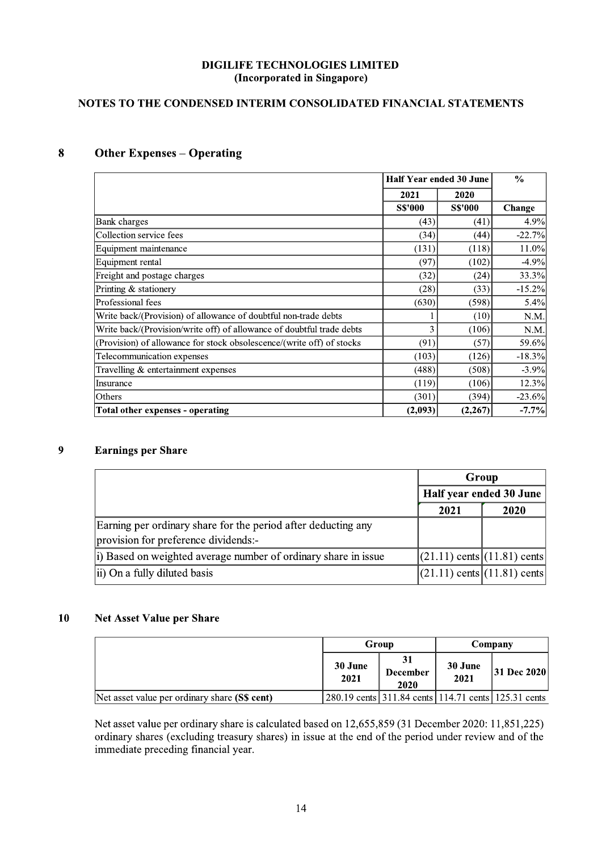# NOTES TO THE CONDENSED INTERIM CONSOLIDATED FINANCIAL STATEMENTS

### **Other Expenses - Operating** 8

|                                                                       |               | Half Year ended 30 June | $\frac{6}{6}$ |
|-----------------------------------------------------------------------|---------------|-------------------------|---------------|
|                                                                       | 2021          | 2020                    |               |
|                                                                       | <b>SS'000</b> | <b>S\$'000</b>          | Change        |
| Bank charges                                                          | (43)          | (41)                    | 4.9%          |
| Collection service fees                                               | (34)          | (44)                    | $-22.7%$      |
| Equipment maintenance                                                 | (131)         | (118)                   | 11.0%         |
| Equipment rental                                                      | (97)          | (102)                   | $-4.9%$       |
| Freight and postage charges                                           | (32)          | (24)                    | 33.3%         |
| Printing & stationery                                                 | (28)          | (33)                    | $-15.2%$      |
| Professional fees                                                     | (630)         | (598)                   | 5.4%          |
| Write back/(Provision) of allowance of doubtful non-trade debts       |               | (10)                    | N.M.          |
| Write back/(Provision/write off) of allowance of doubtful trade debts | 3             | (106)                   | N.M.          |
| (Provision) of allowance for stock obsolescence/(write off) of stocks | (91)          | (57)                    | 59.6%         |
| Telecommunication expenses                                            | (103)         | (126)                   | $-18.3%$      |
| Travelling & entertainment expenses                                   | (488)         | (508)                   | $-3.9%$       |
| Insurance                                                             | (119)         | (106)                   | 12.3%         |
| Others                                                                | (301)         | (394)                   | $-23.6%$      |
| Total other expenses - operating                                      | (2,093)       | (2, 267)                | $-7.7%$       |

### $\overline{9}$ **Earnings per Share**

|                                                                 | Group                           |      |  |
|-----------------------------------------------------------------|---------------------------------|------|--|
|                                                                 | Half year ended 30 June         |      |  |
|                                                                 | 2021                            | 2020 |  |
| Earning per ordinary share for the period after deducting any   |                                 |      |  |
| provision for preference dividends:-                            |                                 |      |  |
| (i) Based on weighted average number of ordinary share in issue | $(21.11)$ cents $(11.81)$ cents |      |  |
| ii) On a fully diluted basis                                    | $(21.11)$ cents $(11.81)$ cents |      |  |

### $10$ Net Asset Value per Share

|                                               | Group           |                         |                                                           | Company            |
|-----------------------------------------------|-----------------|-------------------------|-----------------------------------------------------------|--------------------|
|                                               | 30 June<br>2021 | <b>December</b><br>2020 | 30 June<br>2021                                           | <b>31 Dec 2020</b> |
| Net asset value per ordinary share (S\$ cent) |                 |                         | 280.19 cents   311.84 cents   114.71 cents   125.31 cents |                    |

Net asset value per ordinary share is calculated based on 12,655,859 (31 December 2020: 11,851,225) ordinary shares (excluding treasury shares) in issue at the end of the period under review and of the immediate preceding financial year.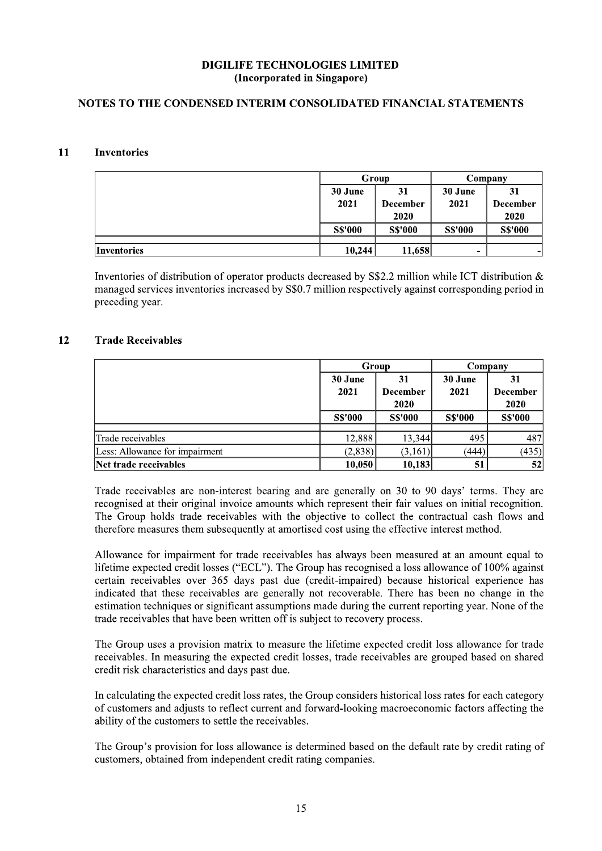### $\mathbf{r}$ NOTES TO THE CONDENSED INTERIM CONSOLIDATED FINANCIAL STATEMENTS

# 11 Inventories

| 11 | <b>Inventories</b>                                                                                                                                   |                 |                               |                 |                               |
|----|------------------------------------------------------------------------------------------------------------------------------------------------------|-----------------|-------------------------------|-----------------|-------------------------------|
|    |                                                                                                                                                      |                 | Group                         |                 | Company                       |
|    |                                                                                                                                                      | 30 June<br>2021 | 31<br><b>December</b><br>2020 | 30 June<br>2021 | 31<br><b>December</b><br>2020 |
|    |                                                                                                                                                      | <b>S\$'000</b>  | <b>S\$'000</b>                | <b>S\$'000</b>  | <b>S\$'000</b>                |
|    | <b>Inventories</b>                                                                                                                                   | 10,244          | 11,658                        |                 |                               |
|    | Inventories of distribution of operator products decreased by S\$2.2 million while ICT distribution &                                                |                 |                               |                 |                               |
| 12 | managed services inventories increased by S\$0.7 million respectively against corresponding period in<br>preceding year.<br><b>Trade Receivables</b> |                 |                               |                 |                               |
|    |                                                                                                                                                      |                 | Group                         |                 | Company                       |
|    |                                                                                                                                                      | 30 June         | 31                            | 30 June         | 31                            |
|    |                                                                                                                                                      | 2021            | <b>December</b><br>2020       | 2021            | <b>December</b><br>2020       |

# 12 Trade Receivables

| 12 | <b>Trade Receivables</b>                                                                                                                                                                                                                                                                                                                                                                                  |                 |                               |                 |                               |
|----|-----------------------------------------------------------------------------------------------------------------------------------------------------------------------------------------------------------------------------------------------------------------------------------------------------------------------------------------------------------------------------------------------------------|-----------------|-------------------------------|-----------------|-------------------------------|
|    |                                                                                                                                                                                                                                                                                                                                                                                                           |                 | Group                         |                 | Company                       |
|    |                                                                                                                                                                                                                                                                                                                                                                                                           | 30 June<br>2021 | 31<br><b>December</b><br>2020 | 30 June<br>2021 | 31<br><b>December</b><br>2020 |
|    |                                                                                                                                                                                                                                                                                                                                                                                                           | <b>S\$'000</b>  | <b>SS'000</b>                 | <b>S\$'000</b>  | <b>S\$'000</b>                |
|    | Trade receivables                                                                                                                                                                                                                                                                                                                                                                                         | 12,888          | 13,344                        | 495             | 487                           |
|    | Less: Allowance for impairment                                                                                                                                                                                                                                                                                                                                                                            | (2,838)         | (3,161)                       | (444)           | (435)                         |
|    | Net trade receivables                                                                                                                                                                                                                                                                                                                                                                                     | 10,050          | 10,183                        | 51              | 52                            |
|    | Trade receivables are non-interest bearing and are generally on 30 to 90 days' terms. They are<br>recognised at their original invoice amounts which represent their fair values on initial recognition.<br>The Group holds trade receivables with the objective to collect the contractual cash flows and<br>therefore measures them subsequently at amortised cost using the effective interest method. |                 |                               |                 |                               |

 $\frac{1}{2,888}$   $\frac{13,344}{13,344}$   $\frac{495}{485}$ <br>  $\frac{487}{1688}$ <br>
Less: Allowance for impairment<br>  $\frac{1}{2,838}$   $\frac{13,344}{10,050}$   $\frac{10,183}{10,183}$   $\frac{51}{51}$   $\frac{52}{52}$ <br>
Trade receivables are non-interest bearing an Less: Allwames for inpairment<br> **Example 18.16.19** (1,838) (1,816) (1,816) (1,818)<br>
Text trade receivables<br>
Text creates are non-interest bearing and are generally on 30 to 90 days' terms. They are<br>
recognised at their ori Allowance for impairment for trade receivables has always been measured at an amount equal to lifetime expected credit losses ("ECL"). The Group has recognised a loss allowance of 100% against creation receivables over 365

indicated that these receivables are generally not recoverable. There has been no change in the estimation techniques or significant assumptions made during the current reporting year. None of the trade receivables that ha The Group uses a provision matrix to measure the lifetime expected credit loss allowance for trade receivables. In measuring the expected credit losses, trade receivables are grouped based on shared credit risk characteris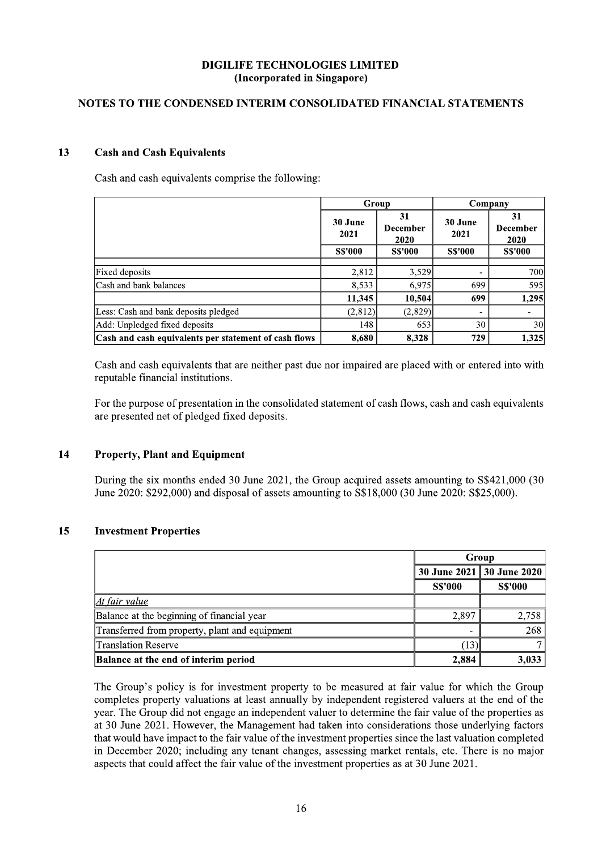# NOTES TO THE CONDENSED INTERIM CONSOLIDATED FINANCIAL STATEMENTS

#### 13 **Cash and Cash Equivalents**

Cash and cash equivalents comprise the following:

|                                                       | Group           |                               |                          | Company                       |  |
|-------------------------------------------------------|-----------------|-------------------------------|--------------------------|-------------------------------|--|
|                                                       | 30 June<br>2021 | 31<br><b>December</b><br>2020 | 30 June<br>2021          | 31<br><b>December</b><br>2020 |  |
|                                                       | <b>S\$'000</b>  | <b>SS'000</b>                 | <b>SS'000</b>            | <b>SS'000</b>                 |  |
| Fixed deposits                                        | 2.812           | 3.529                         | $\overline{\phantom{0}}$ | <b>700</b>                    |  |
| Cash and bank balances                                | 8,533           | 6.975                         | 699                      | 595                           |  |
|                                                       | 11,345          | 10,504                        | 699                      | 1,295                         |  |
| Less: Cash and bank deposits pledged                  | (2.812)         | (2,829)                       | $\overline{\phantom{a}}$ |                               |  |
| Add: Unpledged fixed deposits                         | 148             | 653                           | 30                       | 30 <sup>l</sup>               |  |
| Cash and cash equivalents per statement of cash flows | 8.680           | 8.328                         | 729                      | 1.325                         |  |

Cash and cash equivalents that are neither past due nor impaired are placed with or entered into with reputable financial institutions.

For the purpose of presentation in the consolidated statement of cash flows, cash and cash equivalents are presented net of pledged fixed deposits.

#### 14 **Property, Plant and Equipment**

During the six months ended 30 June 2021, the Group acquired assets amounting to S\$421,000 (30) June 2020: \$292,000) and disposal of assets amounting to S\$18,000 (30 June 2020: S\$25,000).

#### 15 **Investment Properties**

|                                                | Group                     |                |  |
|------------------------------------------------|---------------------------|----------------|--|
|                                                | 30 June 2021 30 June 2020 |                |  |
|                                                | <b>S\$'000</b>            | <b>S\$'000</b> |  |
| At fair value                                  |                           |                |  |
| Balance at the beginning of financial year     | 2,897                     | 2,758          |  |
| Transferred from property, plant and equipment | $\overline{\phantom{a}}$  | 268            |  |
| <b>Translation Reserve</b>                     | (13)                      |                |  |
| Balance at the end of interim period           | 2,884                     | 3,033          |  |

The Group's policy is for investment property to be measured at fair value for which the Group completes property valuations at least annually by independent registered valuers at the end of the year. The Group did not engage an independent valuer to determine the fair value of the properties as at 30 June 2021. However, the Management had taken into considerations those underlying factors that would have impact to the fair value of the investment properties since the last valuation completed in December 2020; including any tenant changes, assessing market rentals, etc. There is no major aspects that could affect the fair value of the investment properties as at 30 June 2021.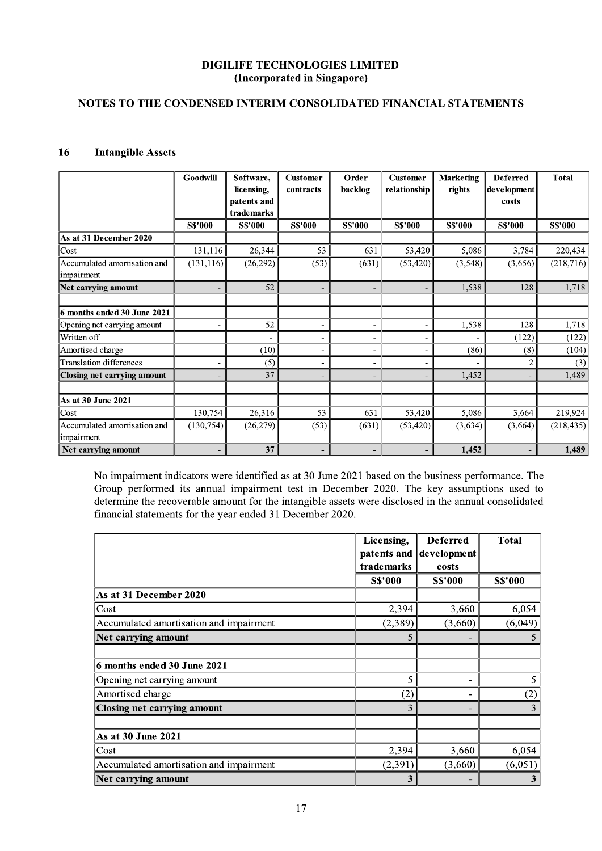# NOTES TO THE CONDENSED INTERIM CONSOLIDATED FINANCIAL STATEMENTS

### **Intangible Assets** 16

|                                            | Goodwill      | Software,<br>licensing,<br>patents and<br>trademarks | <b>Customer</b><br>contracts | Order<br>backlog             | <b>Customer</b><br>relationship | <b>Marketing</b><br>rights | <b>Deferred</b><br>development<br>costs | <b>Total</b>   |
|--------------------------------------------|---------------|------------------------------------------------------|------------------------------|------------------------------|---------------------------------|----------------------------|-----------------------------------------|----------------|
|                                            | <b>SS'000</b> | <b>S\$'000</b>                                       | <b>S\$'000</b>               | <b>S\$'000</b>               | <b>S\$'000</b>                  | <b>S\$'000</b>             | <b>SS'000</b>                           | <b>S\$'000</b> |
| As at 31 December 2020                     |               |                                                      |                              |                              |                                 |                            |                                         |                |
| Cost                                       | 131,116       | 26,344                                               | 53                           | 631                          | 53,420                          | 5,086                      | 3,784                                   | 220,434        |
| Accumulated amortisation and<br>impairment | (131, 116)    | (26,292)                                             | (53)                         | (631)                        | (53, 420)                       | (3,548)                    | (3,656)                                 | (218, 716)     |
| Net carrying amount                        |               | 52                                                   |                              |                              |                                 | 1,538                      | 128                                     | 1,718          |
|                                            |               |                                                      |                              |                              |                                 |                            |                                         |                |
| 6 months ended 30 June 2021                |               |                                                      |                              |                              |                                 |                            |                                         |                |
| Opening net carrying amount                |               | 52                                                   |                              | $\qquad \qquad \blacksquare$ |                                 | 1,538                      | 128                                     | 1,718          |
| Written off                                |               |                                                      |                              |                              |                                 |                            | (122)                                   | (122)          |
| Amortised charge                           |               | (10)                                                 |                              | $\overline{\phantom{a}}$     |                                 | (86)                       | (8)                                     | (104)          |
| <b>Translation differences</b>             |               | (5)                                                  |                              | $\overline{\phantom{0}}$     |                                 |                            | $\overline{2}$                          | (3)            |
| Closing net carrying amount                |               | 37                                                   |                              | -                            |                                 | 1,452                      |                                         | 1,489          |
|                                            |               |                                                      |                              |                              |                                 |                            |                                         |                |
| As at 30 June 2021                         |               |                                                      |                              |                              |                                 |                            |                                         |                |
| Cost                                       | 130,754       | 26,316                                               | 53                           | 631                          | 53,420                          | 5,086                      | 3,664                                   | 219,924        |
| Accumulated amortisation and<br>impairment | (130, 754)    | (26,279)                                             | (53)                         | (631)                        | (53, 420)                       | (3,634)                    | (3,664)                                 | (218, 435)     |
| Net carrying amount                        |               | 37                                                   |                              | $\overline{\phantom{a}}$     |                                 | 1,452                      |                                         | 1,489          |

No impairment indicators were identified as at 30 June 2021 based on the business performance. The Group performed its annual impairment test in December 2020. The key assumptions used to determine the recoverable amount for the intangible assets were disclosed in the annual consolidated financial statements for the year ended 31 December 2020.

|                                         | Licensing,        | <b>Deferred</b> | <b>Total</b>   |
|-----------------------------------------|-------------------|-----------------|----------------|
|                                         | patents and       | development     |                |
|                                         | trademarks        | costs           |                |
|                                         | <b>S\$'000</b>    | <b>S\$'000</b>  | <b>S\$'000</b> |
| As at 31 December 2020                  |                   |                 |                |
| Cost                                    | 2,394             | 3,660           | 6,054          |
| Accumulated amortisation and impairment | (2,389)           | (3,660)         | (6,049)        |
| Net carrying amount                     | 5                 |                 |                |
|                                         |                   |                 |                |
| 6 months ended 30 June 2021             |                   |                 |                |
| Opening net carrying amount             | 5                 |                 |                |
| Amortised charge                        | $\left( 2\right)$ |                 | (2)            |
| Closing net carrying amount             | 3                 |                 | 3              |
|                                         |                   |                 |                |
| As at 30 June 2021                      |                   |                 |                |
| Cost                                    | 2,394             | 3,660           | 6,054          |
| Accumulated amortisation and impairment | (2,391)           | (3,660)         | (6,051)        |
| Net carrying amount                     | 3                 |                 | 3              |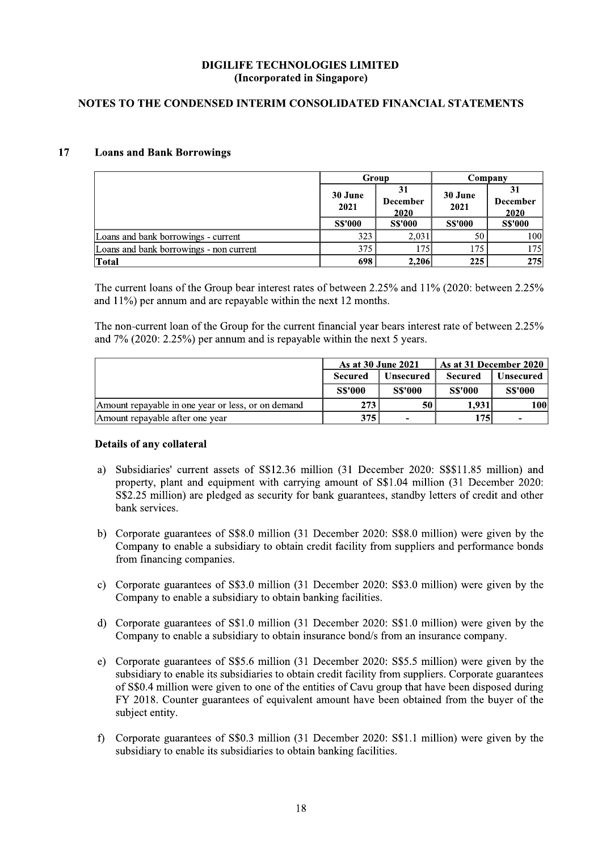# NOTES TO THE CONDENSED INTERIM CONSOLIDATED FINANCIAL STATEMENTS

#### 17 **Loans and Bank Borrowings**

|                                         | Group           |                                      | Company         |                               |
|-----------------------------------------|-----------------|--------------------------------------|-----------------|-------------------------------|
|                                         | 30 June<br>2021 | 31<br><b>December</b><br><b>2020</b> | 30 June<br>2021 | 31<br><b>December</b><br>2020 |
|                                         | <b>S\$'000</b>  | <b>SS'000</b>                        | <b>S\$'000</b>  | <b>SS'000</b>                 |
| Loans and bank borrowings - current     | 323             | 2.031                                | 50              | 100l                          |
| Loans and bank borrowings - non current | 375             | 175                                  | 175             | 175                           |
| <b>Total</b>                            | 698             | 2.206                                | 225             | <b>275</b>                    |

The current loans of the Group bear interest rates of between 2.25% and 11% (2020: between 2.25% and  $11\%$ ) per annum and are repayable within the next 12 months.

The non-current loan of the Group for the current financial year bears interest rate of between 2.25% and  $7\%$  (2020: 2.25%) per annum and is repayable within the next 5 years.

|                                                    | As at 30 June 2021 |                          | As at 31 December 2020 |                |
|----------------------------------------------------|--------------------|--------------------------|------------------------|----------------|
|                                                    | <b>Secured</b>     | <b>Unsecured</b>         | <b>Secured</b>         | Unsecured      |
|                                                    | <b>S\$'000</b>     | <b>SS'000</b>            | <b>S\$'000</b>         | <b>SS'000</b>  |
| Amount repayable in one year or less, or on demand | 273                | 50                       | 1.931                  | 100l           |
| Amount repayable after one year                    | 375                | $\overline{\phantom{0}}$ | 1751                   | $\blacksquare$ |

### Details of any collateral

- a) Subsidiaries' current assets of S\$12.36 million (31 December 2020: S\$\$11.85 million) and property, plant and equipment with carrying amount of S\$1.04 million (31 December 2020: S\$2.25 million) are pledged as security for bank guarantees, standby letters of credit and other bank services.
- Corporate guarantees of S\$8.0 million (31 December 2020: S\$8.0 million) were given by the  $b)$ Company to enable a subsidiary to obtain credit facility from suppliers and performance bonds from financing companies.
- c) Corporate guarantees of S\$3.0 million (31 December 2020: S\$3.0 million) were given by the Company to enable a subsidiary to obtain banking facilities.
- d) Corporate guarantees of S\$1.0 million (31 December 2020: S\$1.0 million) were given by the Company to enable a subsidiary to obtain insurance bond/s from an insurance company.
- e) Corporate guarantees of S\$5.6 million (31 December 2020: S\$5.5 million) were given by the subsidiary to enable its subsidiaries to obtain credit facility from suppliers. Corporate guarantees of S\$0.4 million were given to one of the entities of Cavu group that have been disposed during FY 2018. Counter guarantees of equivalent amount have been obtained from the buyer of the subject entity.
- Corporate guarantees of S\$0.3 million (31 December 2020: S\$1.1 million) were given by the  $\bigcap$ subsidiary to enable its subsidiaries to obtain banking facilities.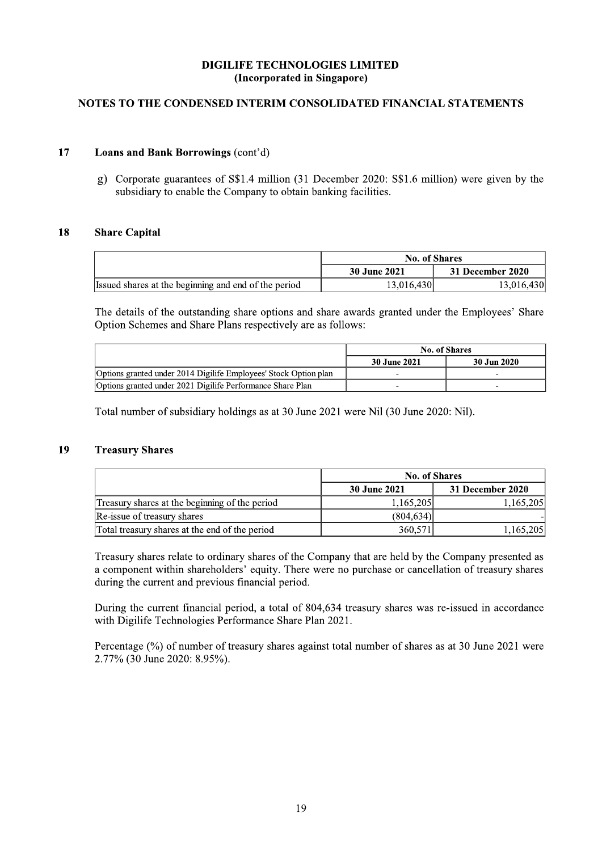# NOTES TO THE CONDENSED INTERIM CONSOLIDATED FINANCIAL STATEMENTS

#### 17 Loans and Bank Borrowings (cont'd)

Corporate guarantees of S\$1.4 million (31 December 2020: S\$1.6 million) were given by the  $\mathbf{g}$ ) subsidiary to enable the Company to obtain banking facilities.

#### **Share Capital** 18

|                                                      | <b>No. of Shares</b> |                  |  |
|------------------------------------------------------|----------------------|------------------|--|
|                                                      | 30 June 2021         | 31 December 2020 |  |
| Issued shares at the beginning and end of the period | 13.016.430           | 13,016,430       |  |

The details of the outstanding share options and share awards granted under the Employees' Share Option Schemes and Share Plans respectively are as follows:

|                                                                  | No. of Shares |             |
|------------------------------------------------------------------|---------------|-------------|
|                                                                  | 30 June 2021  | 30 Jun 2020 |
| Options granted under 2014 Digilife Employees' Stock Option plan |               |             |
| Options granted under 2021 Digilife Performance Share Plan       |               | -           |

Total number of subsidiary holdings as at 30 June 2021 were Nil (30 June 2020: Nil).

### 19 **Treasury Shares**

|                                                | <b>No. of Shares</b> |                  |  |
|------------------------------------------------|----------------------|------------------|--|
|                                                | 30 June 2021         | 31 December 2020 |  |
| Treasury shares at the beginning of the period | 1.165,205            | 1,165,205        |  |
| Re-issue of treasury shares                    | (804.634)            |                  |  |
| Total treasury shares at the end of the period | 360,571              | 1,165,205        |  |

Treasury shares relate to ordinary shares of the Company that are held by the Company presented as a component within shareholders' equity. There were no purchase or cancellation of treasury shares during the current and previous financial period.

During the current financial period, a total of 804,634 treasury shares was re-issued in accordance with Digilife Technologies Performance Share Plan 2021.

Percentage (%) of number of treasury shares against total number of shares as at 30 June 2021 were 2.77% (30 June 2020: 8.95%).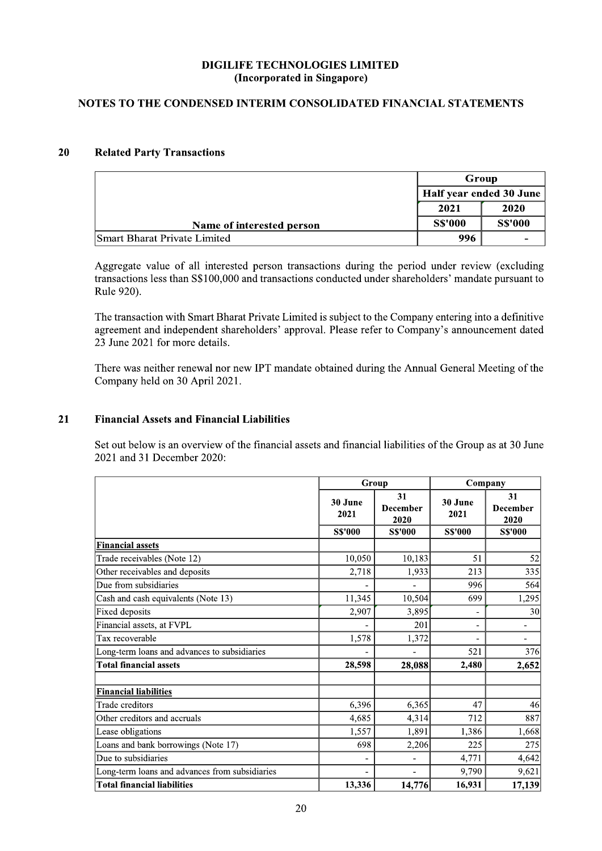# NOTES TO THE CONDENSED INTERIM CONSOLIDATED FINANCIAL STATEMENTS

#### 20 **Related Party Transactions**

|                              | Group<br>Half year ended 30 June<br>2020<br>2021 |                |
|------------------------------|--------------------------------------------------|----------------|
|                              |                                                  |                |
|                              |                                                  |                |
| Name of interested person    | <b>SS'000</b>                                    | <b>S\$'000</b> |
| Smart Bharat Private Limited | 996                                              |                |

Aggregate value of all interested person transactions during the period under review (excluding transactions less than S\$100,000 and transactions conducted under shareholders' mandate pursuant to Rule 920).

The transaction with Smart Bharat Private Limited is subject to the Company entering into a definitive agreement and independent shareholders' approval. Please refer to Company's announcement dated 23 June 2021 for more details.

There was neither renewal nor new IPT mandate obtained during the Annual General Meeting of the Company held on 30 April 2021.

### $21$ **Financial Assets and Financial Liabilities**

Set out below is an overview of the financial assets and financial liabilities of the Group as at 30 June 2021 and 31 December 2020:

|                                                |                 | Group                         |                 | Company                       |  |
|------------------------------------------------|-----------------|-------------------------------|-----------------|-------------------------------|--|
|                                                | 30 June<br>2021 | 31<br><b>December</b><br>2020 | 30 June<br>2021 | 31<br><b>December</b><br>2020 |  |
|                                                | <b>S\$'000</b>  | <b>S\$'000</b>                | <b>S\$'000</b>  | <b>S\$'000</b>                |  |
| <b>Financial assets</b>                        |                 |                               |                 |                               |  |
| Trade receivables (Note 12)                    | 10,050          | 10,183                        | 51              | 52                            |  |
| Other receivables and deposits                 | 2,718           | 1,933                         | 213             | 335                           |  |
| Due from subsidiaries                          |                 |                               | 996             | 564                           |  |
| Cash and cash equivalents (Note 13)            | 11,345          | 10,504                        | 699             | 1,295                         |  |
| Fixed deposits                                 | 2,907           | 3,895                         | -               | 30                            |  |
| Financial assets, at FVPL                      |                 | 201                           | -               | $\overline{\phantom{a}}$      |  |
| Tax recoverable                                | 1,578           | 1,372                         |                 | $\blacksquare$                |  |
| Long-term loans and advances to subsidiaries   |                 |                               | 521             | 376                           |  |
| <b>Total financial assets</b>                  | 28,598          | 28,088                        | 2,480           | 2,652                         |  |
| <b>Financial liabilities</b>                   |                 |                               |                 |                               |  |
| Trade creditors                                | 6,396           | 6,365                         | 47              | 46                            |  |
| Other creditors and accruals                   | 4,685           | 4,314                         | 712             | 887                           |  |
| Lease obligations                              | 1,557           | 1.891                         | 1,386           | 1,668                         |  |
| Loans and bank borrowings (Note 17)            | 698             | 2,206                         | 225             | 275                           |  |
| Due to subsidiaries                            |                 |                               | 4,771           | 4,642                         |  |
| Long-term loans and advances from subsidiaries |                 |                               | 9,790           | 9,621                         |  |
| <b>Total financial liabilities</b>             | 13,336          | 14,776                        | 16,931          | 17,139                        |  |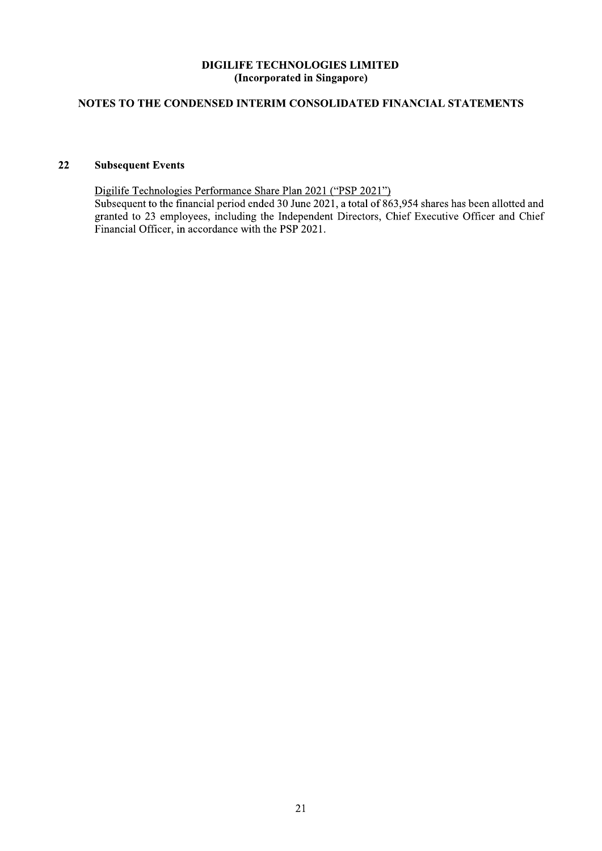# NOTES TO THE CONDENSED INTERIM CONSOLIDATED FINANCIAL STATEMENTS

### $22$ **Subsequent Events**

Digilife Technologies Performance Share Plan 2021 ("PSP 2021") Subsequent to the financial period ended 30 June 2021, a total of 863,954 shares has been allotted and granted to 23 employees, including the Independent Directors, Chief Executive Officer and Chief Financial Officer, in accordance with the PSP 2021.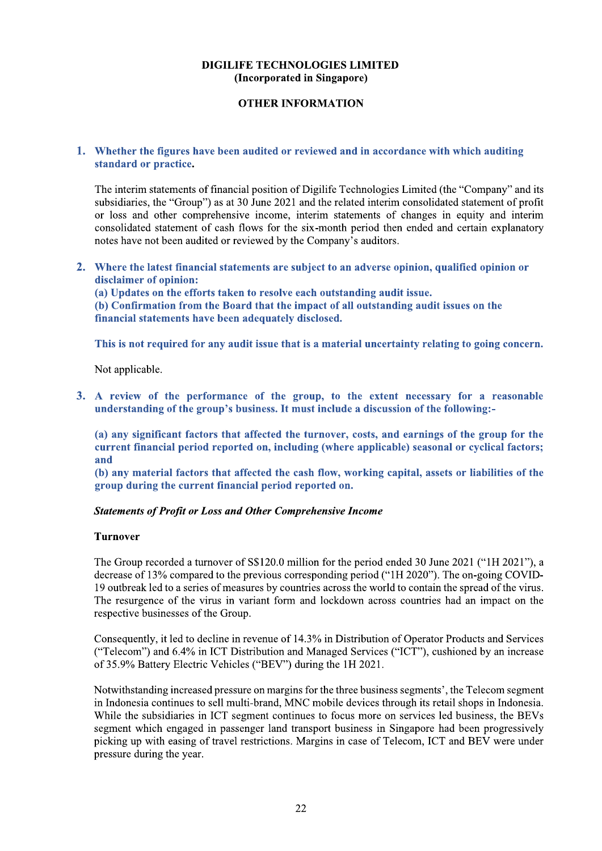# **OTHER INFORMATION**

# 1. Whether the figures have been audited or reviewed and in accordance with which auditing standard or practice.

The interim statements of financial position of Digilife Technologies Limited (the "Company" and its subsidiaries, the "Group") as at 30 June 2021 and the related interim consolidated statement of profit or loss and other comprehensive income, interim statements of changes in equity and interim consolidated statement of cash flows for the six-month period then ended and certain explanatory notes have not been audited or reviewed by the Company's auditors.

2. Where the latest financial statements are subject to an adverse opinion, qualified opinion or disclaimer of opinion:

(a) Updates on the efforts taken to resolve each outstanding audit issue. (b) Confirmation from the Board that the impact of all outstanding audit issues on the financial statements have been adequately disclosed.

This is not required for any audit issue that is a material uncertainty relating to going concern.

Not applicable.

3. A review of the performance of the group, to the extent necessary for a reasonable understanding of the group's business. It must include a discussion of the following:-

(a) any significant factors that affected the turnover, costs, and earnings of the group for the current financial period reported on, including (where applicable) seasonal or cyclical factors; and

(b) any material factors that affected the cash flow, working capital, assets or liabilities of the group during the current financial period reported on.

# **Statements of Profit or Loss and Other Comprehensive Income**

### **Turnover**

The Group recorded a turnover of S\$120.0 million for the period ended 30 June 2021 ("1H 2021"), a decrease of 13% compared to the previous corresponding period ("1H 2020"). The on-going COVID-19 outbreak led to a series of measures by countries across the world to contain the spread of the virus. The resurgence of the virus in variant form and lockdown across countries had an impact on the respective businesses of the Group.

Consequently, it led to decline in revenue of 14.3% in Distribution of Operator Products and Services ("Telecom") and 6.4% in ICT Distribution and Managed Services ("ICT"), cushioned by an increase of 35.9% Battery Electric Vehicles ("BEV") during the 1H 2021.

Notwithstanding increased pressure on margins for the three business segments', the Telecom segment in Indonesia continues to sell multi-brand, MNC mobile devices through its retail shops in Indonesia. While the subsidiaries in ICT segment continues to focus more on services led business, the BEVs segment which engaged in passenger land transport business in Singapore had been progressively picking up with easing of travel restrictions. Margins in case of Telecom, ICT and BEV were under pressure during the year.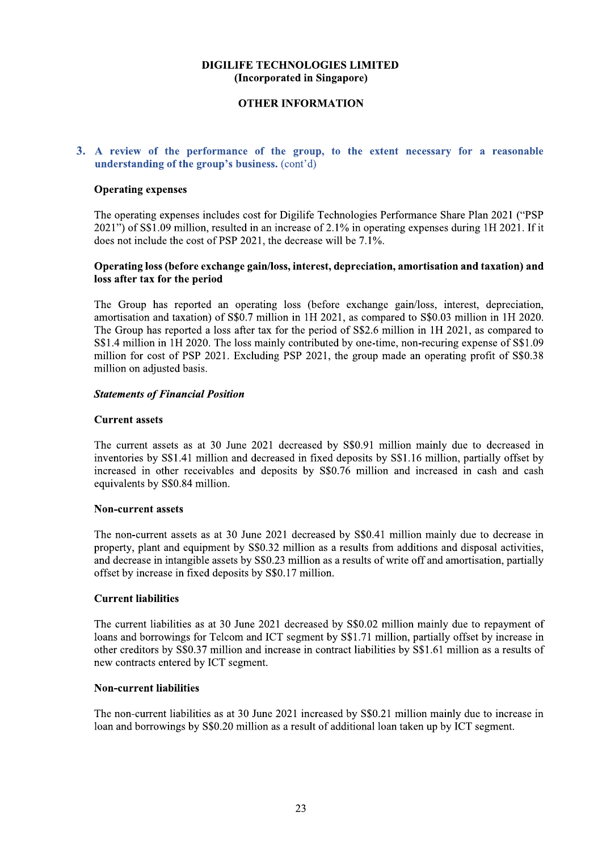# **OTHER INFORMATION**

# 3. A review of the performance of the group, to the extent necessary for a reasonable understanding of the group's business. (cont'd)

### **Operating expenses**

The operating expenses includes cost for Digilife Technologies Performance Share Plan 2021 ("PSP  $2021$ ") of S\$1.09 million, resulted in an increase of 2.1% in operating expenses during 1H 2021. If it does not include the cost of PSP 2021, the decrease will be  $7.1\%$ .

# Operating loss (before exchange gain/loss, interest, depreciation, amortisation and taxation) and loss after tax for the period

The Group has reported an operating loss (before exchange gain/loss, interest, depreciation, amortisation and taxation) of S\$0.7 million in 1H 2021, as compared to S\$0.03 million in 1H 2020. The Group has reported a loss after tax for the period of S\$2.6 million in 1H 2021, as compared to S\$1.4 million in 1H 2020. The loss mainly contributed by one-time, non-recuring expense of S\$1.09 million for cost of PSP 2021. Excluding PSP 2021, the group made an operating profit of S\$0.38 million on adjusted basis.

### **Statements of Financial Position**

### **Current assets**

The current assets as at 30 June 2021 decreased by \$\$0.91 million mainly due to decreased in inventories by S\$1.41 million and decreased in fixed deposits by S\$1.16 million, partially offset by increased in other receivables and deposits by S\$0.76 million and increased in cash and cash equivalents by S\$0.84 million.

### **Non-current assets**

The non-current assets as at 30 June 2021 decreased by S\$0.41 million mainly due to decrease in property, plant and equipment by S\$0.32 million as a results from additions and disposal activities, and decrease in intangible assets by S\$0.23 million as a results of write off and amortisation, partially offset by increase in fixed deposits by S\$0.17 million.

# **Current liabilities**

The current liabilities as at 30 June 2021 decreased by S\$0.02 million mainly due to repayment of loans and borrowings for Telcom and ICT segment by S\$1.71 million, partially offset by increase in other creditors by S\$0.37 million and increase in contract liabilities by S\$1.61 million as a results of new contracts entered by ICT segment.

# **Non-current liabilities**

The non-current liabilities as at 30 June 2021 increased by S\$0.21 million mainly due to increase in loan and borrowings by S\$0.20 million as a result of additional loan taken up by ICT segment.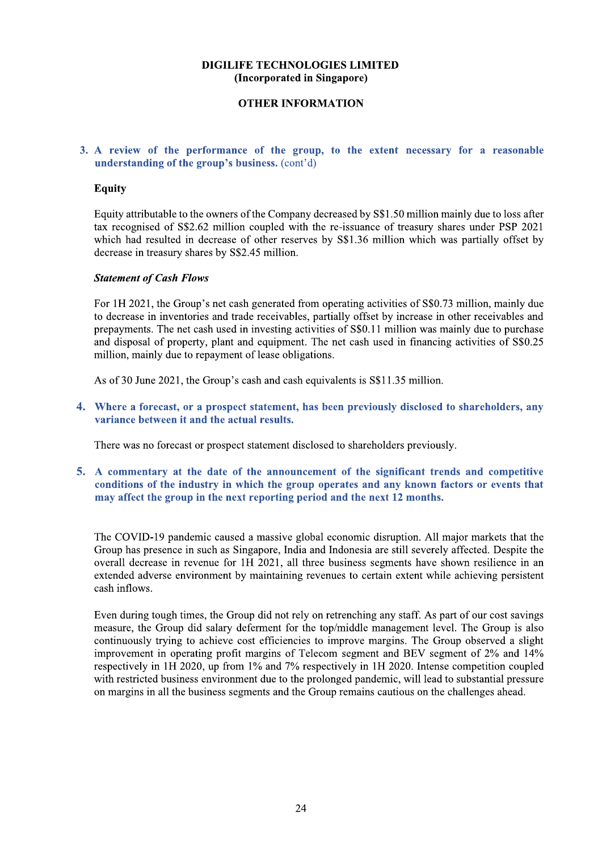# **OTHER INFORMATION**

# 3. A review of the performance of the group, to the extent necessary for a reasonable understanding of the group's business. (cont'd)

# **Equity**

Equity attributable to the owners of the Company decreased by S\$1.50 million mainly due to loss after tax recognised of S\$2.62 million coupled with the re-issuance of treasury shares under PSP 2021 which had resulted in decrease of other reserves by S\$1.36 million which was partially offset by decrease in treasury shares by S\$2.45 million.

### **Statement of Cash Flows**

For 1H 2021, the Group's net cash generated from operating activities of S\$0.73 million, mainly due to decrease in inventories and trade receivables, partially offset by increase in other receivables and prepayments. The net cash used in investing activities of S\$0.11 million was mainly due to purchase and disposal of property, plant and equipment. The net cash used in financing activities of S\$0.25 million, mainly due to repayment of lease obligations.

As of 30 June 2021, the Group's cash and cash equivalents is S\$11.35 million.

4. Where a forecast, or a prospect statement, has been previously disclosed to shareholders, any variance between it and the actual results.

There was no forecast or prospect statement disclosed to shareholders previously.

5. A commentary at the date of the announcement of the significant trends and competitive conditions of the industry in which the group operates and any known factors or events that may affect the group in the next reporting period and the next 12 months.

The COVID-19 pandemic caused a massive global economic disruption. All major markets that the Group has presence in such as Singapore, India and Indonesia are still severely affected. Despite the overall decrease in revenue for 1H 2021, all three business segments have shown resilience in an extended adverse environment by maintaining revenues to certain extent while achieving persistent cash inflows.

Even during tough times, the Group did not rely on retrenching any staff. As part of our cost savings measure, the Group did salary deferment for the top/middle management level. The Group is also continuously trying to achieve cost efficiencies to improve margins. The Group observed a slight improvement in operating profit margins of Telecom segment and BEV segment of 2% and 14% respectively in 1H 2020, up from 1% and 7% respectively in 1H 2020. Intense competition coupled with restricted business environment due to the prolonged pandemic, will lead to substantial pressure on margins in all the business segments and the Group remains cautious on the challenges ahead.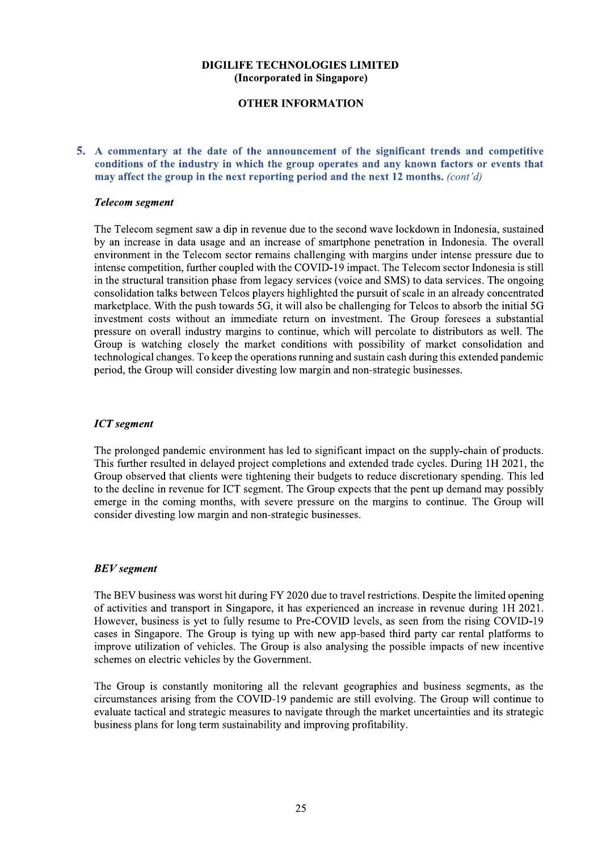# **OTHER INFORMATION**

# 5. A commentary at the date of the announcement of the significant trends and competitive conditions of the industry in which the group operates and any known factors or events that may affect the group in the next reporting period and the next 12 months. (cont'd)

### **Telecom segment**

The Telecom segment saw a dip in revenue due to the second wave lockdown in Indonesia, sustained by an increase in data usage and an increase of smartphone penetration in Indonesia. The overall environment in the Telecom sector remains challenging with margins under intense pressure due to intense competition, further coupled with the COVID-19 impact. The Telecom sector Indonesia is still in the structural transition phase from legacy services (voice and SMS) to data services. The ongoing consolidation talks between Telcos players highlighted the pursuit of scale in an already concentrated marketplace. With the push towards 5G, it will also be challenging for Telcos to absorb the initial 5G investment costs without an immediate return on investment. The Group foresees a substantial pressure on overall industry margins to continue, which will percolate to distributors as well. The Group is watching closely the market conditions with possibility of market consolidation and technological changes. To keep the operations running and sustain cash during this extended pandemic period, the Group will consider divesting low margin and non-strategic businesses.

# **ICT** segment

The prolonged pandemic environment has led to significant impact on the supply-chain of products. This further resulted in delayed project completions and extended trade cycles. During 1H 2021, the Group observed that clients were tightening their budgets to reduce discretionary spending. This led to the decline in revenue for ICT segment. The Group expects that the pent up demand may possibly emerge in the coming months, with severe pressure on the margins to continue. The Group will consider divesting low margin and non-strategic businesses.

# **BEV** segment

The BEV business was worst hit during FY 2020 due to travel restrictions. Despite the limited opening of activities and transport in Singapore, it has experienced an increase in revenue during 1H 2021. However, business is yet to fully resume to Pre-COVID levels, as seen from the rising COVID-19 cases in Singapore. The Group is tying up with new app-based third party car rental platforms to improve utilization of vehicles. The Group is also analysing the possible impacts of new incentive schemes on electric vehicles by the Government.

The Group is constantly monitoring all the relevant geographies and business segments, as the circumstances arising from the COVID-19 pandemic are still evolving. The Group will continue to evaluate tactical and strategic measures to navigate through the market uncertainties and its strategic business plans for long term sustainability and improving profitability.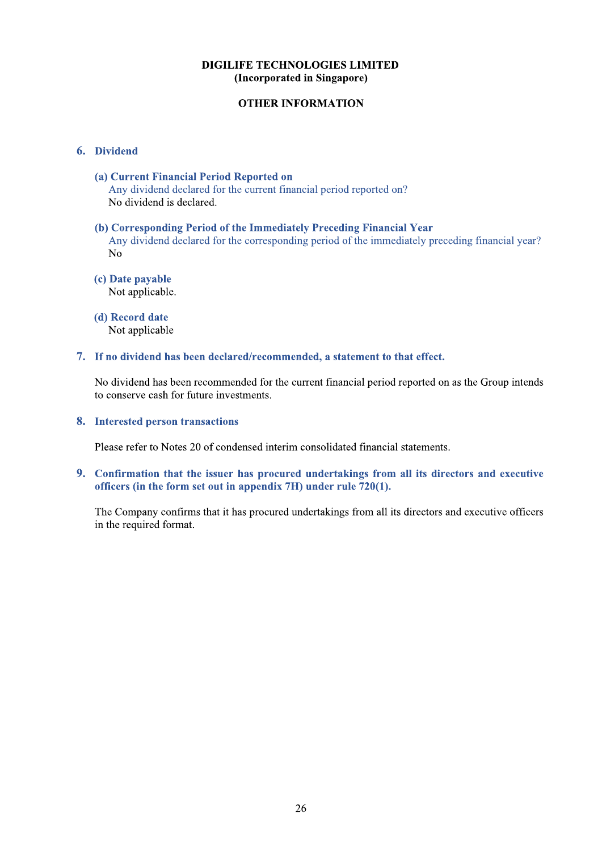# **OTHER INFORMATION**

# 6. Dividend

(a) Current Financial Period Reported on Any dividend declared for the current financial period reported on? No dividend is declared.

### (b) Corresponding Period of the Immediately Preceding Financial Year Any dividend declared for the corresponding period of the immediately preceding financial year?  $No$

(c) Date payable Not applicable.

(d) Record date Not applicable

### 7. If no dividend has been declared/recommended, a statement to that effect.

No dividend has been recommended for the current financial period reported on as the Group intends to conserve cash for future investments.

### 8. Interested person transactions

Please refer to Notes 20 of condensed interim consolidated financial statements.

9. Confirmation that the issuer has procured undertakings from all its directors and executive officers (in the form set out in appendix  $7H$ ) under rule  $720(1)$ .

The Company confirms that it has procured undertakings from all its directors and executive officers in the required format.